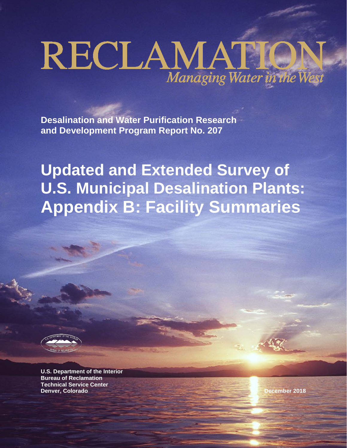# RECLAMATION

**Desalination and Water Purification Research and Development Program Report No. 207**

**Updated and Extended Survey of U.S. Municipal Desalination Plants: Appendix B: Facility Summaries**

**B-1**



**U.S. Department of the Interior Bureau of Reclamation Technical Service Center Denver, Colorado December 2018**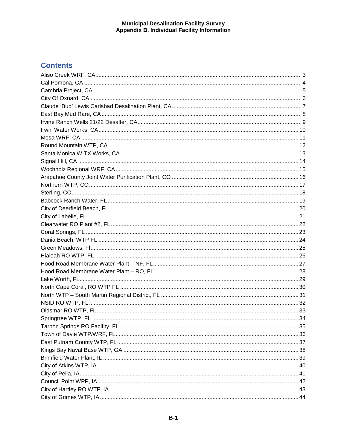## **Contents**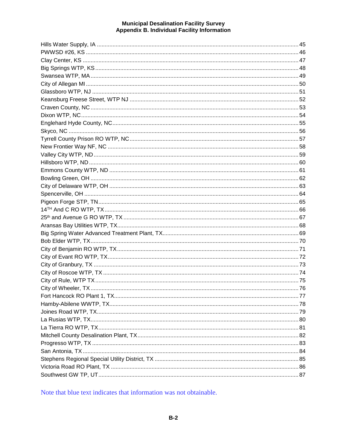Note that blue text indicates that information was not obtainable.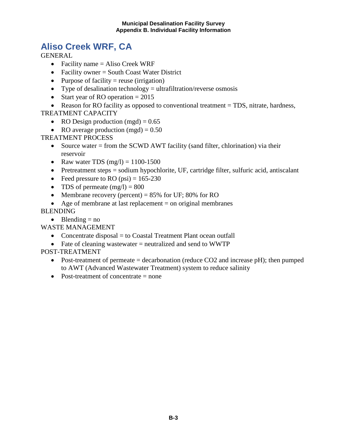## <span id="page-4-0"></span>**Aliso Creek WRF, CA**

**GENERAL** 

- Facility name = Aliso Creek WRF
- Facility owner = South Coast Water District
- Purpose of facility  $=$  reuse (irrigation)
- Type of desalination technology  $=$  ultrafiltration/reverse osmosis
- Start year of RO operation  $= 2015$

• Reason for RO facility as opposed to conventional treatment = TDS, nitrate, hardness, TREATMENT CAPACITY

- RO Design production (mgd)  $= 0.65$
- RO average production  $(mgd) = 0.50$

TREATMENT PROCESS

- Source water = from the SCWD AWT facility (sand filter, chlorination) via their reservoir
- Raw water TDS  $(mg/l) = 1100-1500$
- Pretreatment steps = sodium hypochlorite, UF, cartridge filter, sulfuric acid, antiscalant
- Feed pressure to RO  $(psi) = 165-230$
- TDS of permeate  $(mg/l) = 800$
- Membrane recovery (percent) =  $85\%$  for UF;  $80\%$  for RO
- Age of membrane at last replacement  $=$  on original membranes

## BLENDING

• Blending  $=$  no

WASTE MANAGEMENT

- Concentrate disposal = to Coastal Treatment Plant ocean outfall
- Fate of cleaning wastewater = neutralized and send to WWTP

- Post-treatment of permeate  $=$  decarbonation (reduce CO2 and increase pH); then pumped to AWT (Advanced Wastewater Treatment) system to reduce salinity
- Post-treatment of concentrate = none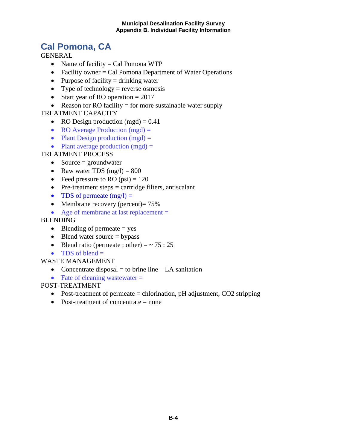## <span id="page-5-0"></span>**Cal Pomona, CA**

**GENERAL** 

- Name of facility  $=$  Cal Pomona WTP
- Facility owner  $=$  Cal Pomona Department of Water Operations
- Purpose of facility  $=$  drinking water
- Type of technology = reverse osmosis
- Start year of RO operation  $= 2017$
- Reason for RO facility  $=$  for more sustainable water supply

## TREATMENT CAPACITY

- RO Design production  $(mgd) = 0.41$
- RO Average Production (mgd) =
- Plant Design production  $(mgd) =$
- Plant average production  $(mgd)$  =

## TREATMENT PROCESS

- Source  $=$  groundwater
- Raw water TDS  $(mg/l) = 800$
- Feed pressure to RO  $(psi) = 120$
- Pre-treatment steps  $=$  cartridge filters, antiscalant
- TDS of permeate  $(mg/l) =$
- Membrane recovery (percent) =  $75\%$
- Age of membrane at last replacement =

## BLENDING

- Blending of permeate  $=$  yes
- Blend water source  $=$  bypass
- Blend ratio (permeate : other) =  $\sim$  75 : 25
- TDS of blend  $=$

## WASTE MANAGEMENT

- Concentrate disposal  $=$  to brine line  $LA$  sanitation
- Fate of cleaning wastewater  $=$

- Post-treatment of permeate  $=$  chlorination, pH adjustment, CO2 stripping
- Post-treatment of concentrate  $=$  none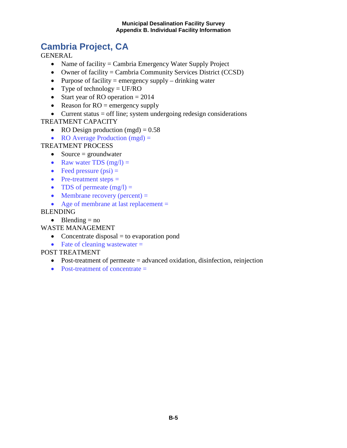## <span id="page-6-0"></span>**Cambria Project, CA**

GENERAL

- Name of facility = Cambria Emergency Water Supply Project
- Owner of facility = Cambria Community Services District (CCSD)
- Purpose of facility = emergency supply  $-$  drinking water
- Type of technology  $= UF/RO$
- Start year of RO operation  $= 2014$
- Reason for  $RO =$  emergency supply
- Current status = off line; system undergoing redesign considerations

## TREATMENT CAPACITY

- RO Design production  $(mgd) = 0.58$
- RO Average Production  $(mgd)$  =

## TREATMENT PROCESS

- Source  $=$  groundwater
- Raw water TDS  $(mg/l) =$
- Feed pressure  $(psi)$  =
- Pre-treatment steps  $=$
- TDS of permeate  $(mg/l) =$
- Membrane recovery (percent)  $=$
- Age of membrane at last replacement =

## BLENDING

• Blending  $=$  no

## WASTE MANAGEMENT

- Concentrate disposal = to evaporation pond
- Fate of cleaning wastewater  $=$

- Post-treatment of permeate = advanced oxidation, disinfection, reinjection
- Post-treatment of concentrate  $=$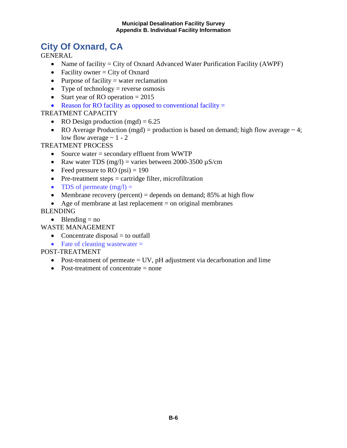## <span id="page-7-0"></span>**City Of Oxnard, CA**

**GENERAL** 

- Name of facility = City of Oxnard Advanced Water Purification Facility (AWPF)
- Facility owner  $=$  City of Oxnard
- Purpose of facility  $=$  water reclamation
- Type of technology = reverse osmosis
- Start year of RO operation  $= 2015$
- Reason for RO facility as opposed to conventional facility  $=$

## TREATMENT CAPACITY

- RO Design production (mgd)  $= 6.25$
- RO Average Production (mgd) = production is based on demand; high flow average  $\sim$  4; low flow average  $\sim 1 - 2$

TREATMENT PROCESS

- Source water = secondary effluent from WWTP
- Raw water TDS (mg/l) = varies between 2000-3500  $\mu$ S/cm
- Feed pressure to RO  $(psi) = 190$
- Pre-treatment steps = cartridge filter, microfiltration
- TDS of permeate  $(mg/l) =$
- Membrane recovery (percent) = depends on demand;  $85\%$  at high flow
- Age of membrane at last replacement  $=$  on original membranes

## BLENDING

• Blending  $=$  no

WASTE MANAGEMENT

- Concentrate disposal  $=$  to outfall
- Fate of cleaning wastewater  $=$

- Post-treatment of permeate  $=$  UV, pH adjustment via decarbonation and lime
- Post-treatment of concentrate = none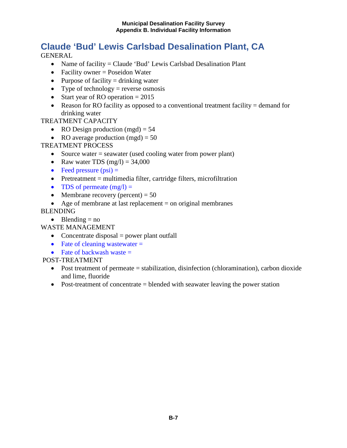## <span id="page-8-0"></span>**Claude 'Bud' Lewis Carlsbad Desalination Plant, CA**

GENERAL

- Name of facility = Claude 'Bud' Lewis Carlsbad Desalination Plant
- Facility owner = Poseidon Water
- Purpose of facility  $=$  drinking water
- Type of technology = reverse osmosis
- Start year of RO operation  $= 2015$
- Reason for RO facility as opposed to a conventional treatment facility  $=$  demand for drinking water

## TREATMENT CAPACITY

- RO Design production  $(mgd) = 54$
- RO average production  $(mgd) = 50$

## TREATMENT PROCESS

- Source water = seawater (used cooling water from power plant)
- Raw water TDS  $(mg/l) = 34,000$
- Feed pressure  $(psi)$  =
- Pretreatment  $=$  multimedia filter, cartridge filters, microfiltration
- TDS of permeate  $(mg/l) =$
- Membrane recovery (percent)  $= 50$
- Age of membrane at last replacement  $=$  on original membranes

## BLENDING

• Blending  $=$  no

WASTE MANAGEMENT

- Concentrate disposal  $=$  power plant outfall
- Fate of cleaning wastewater  $=$
- Fate of backwash waste  $=$

- Post treatment of permeate = stabilization, disinfection (chloramination), carbon dioxide and lime, fluoride
- Post-treatment of concentrate = blended with seawater leaving the power station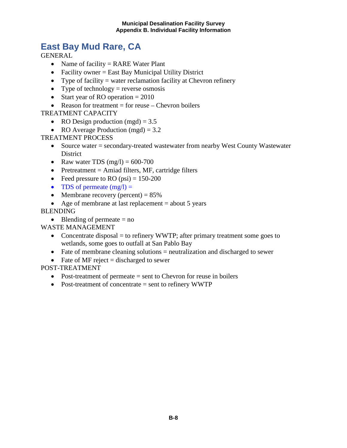## <span id="page-9-0"></span>**East Bay Mud Rare, CA**

GENERAL

- Name of facility = RARE Water Plant
- Facility owner = East Bay Municipal Utility District
- Type of facility  $=$  water reclamation facility at Chevron refinery
- Type of technology = reverse osmosis
- Start year of RO operation  $= 2010$
- Reason for treatment  $=$  for reuse  $-$  Chevron boilers

#### TREATMENT CAPACITY

- RO Design production  $(mgd) = 3.5$
- RO Average Production (mgd) =  $3.2$

TREATMENT PROCESS

- Source water = secondary-treated wastewater from nearby West County Wastewater District
- Raw water TDS  $(mg/l) = 600-700$
- Pretreatment = Amiad filters, MF, cartridge filters
- Feed pressure to RO  $(psi) = 150-200$
- TDS of permeate  $(mg/l) =$
- Membrane recovery (percent)  $= 85\%$
- Age of membrane at last replacement  $=$  about 5 years

#### BLENDING

• Blending of permeate  $=$  no

WASTE MANAGEMENT

- Concentrate disposal  $=$  to refinery WWTP; after primary treatment some goes to wetlands, some goes to outfall at San Pablo Bay
- Fate of membrane cleaning solutions = neutralization and discharged to sewer
- Fate of MF reject  $=$  discharged to sewer

- Post-treatment of permeate  $=$  sent to Chevron for reuse in boilers
- Post-treatment of concentrate = sent to refinery WWTP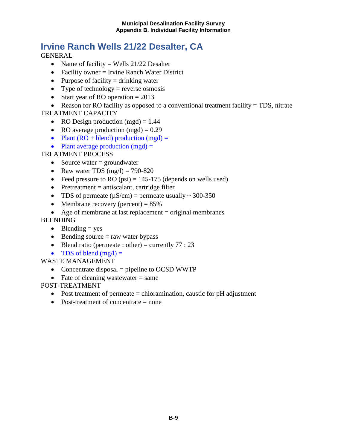## <span id="page-10-0"></span>**Irvine Ranch Wells 21/22 Desalter, CA**

**GENERAL** 

- Name of facility = Wells  $21/22$  Desalter
- Facility owner = Irvine Ranch Water District
- Purpose of facility  $=$  drinking water
- Type of technology = reverse osmosis
- Start year of RO operation  $= 2013$

• Reason for RO facility as opposed to a conventional treatment facility = TDS, nitrate TREATMENT CAPACITY

- RO Design production  $(mgd) = 1.44$
- RO average production  $(mgd) = 0.29$
- Plant  $(RO + blend)$  production  $(mgd) =$
- Plant average production  $(mgd) =$

## TREATMENT PROCESS

- Source water  $=$  groundwater
- Raw water TDS  $(mg/l) = 790-820$
- Feed pressure to RO (psi) =  $145-175$  (depends on wells used)
- Pretreatment  $=$  antiscalant, cartridge filter
- TDS of permeate  $(\mu S/cm)$  = permeate usually ~ 300-350
- Membrane recovery (percent)  $= 85\%$
- Age of membrane at last replacement = original membranes

## BLENDING

- Blending  $=$  yes
- Bending source  $=$  raw water bypass
- Blend ratio (permeate : other) = currently  $77:23$
- TDS of blend  $(mg/l) =$

## WASTE MANAGEMENT

- Concentrate disposal = pipeline to OCSD WWTP
- Fate of cleaning wastewater  $=$  same

- Post treatment of permeate  $=$  chloramination, caustic for pH adjustment
- Post-treatment of concentrate  $=$  none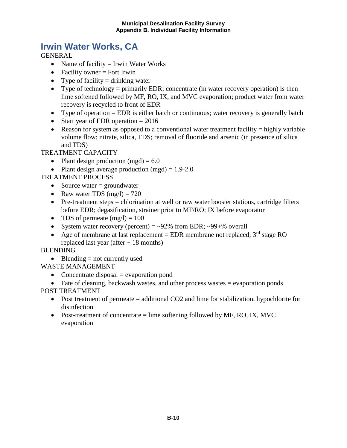## <span id="page-11-0"></span>**Irwin Water Works, CA**

**GENERAL** 

- Name of facility  $=$  Irwin Water Works
- Facility owner  $=$  Fort Irwin
- Type of facility  $=$  drinking water
- Type of technology = primarily EDR; concentrate (in water recovery operation) is then lime softened followed by MF, RO, IX, and MVC evaporation; product water from water recovery is recycled to front of EDR
- Type of operation  $=$  EDR is either batch or continuous; water recovery is generally batch
- Start year of EDR operation  $= 2016$
- Reason for system as opposed to a conventional water treatment facility  $=$  highly variable volume flow; nitrate, silica, TDS; removal of fluoride and arsenic (in presence of silica and TDS)

TREATMENT CAPACITY

- Plant design production (mgd)  $= 6.0$
- Plant design average production  $(mgd) = 1.9-2.0$

TREATMENT PROCESS

- Source water  $=$  groundwater
- Raw water TDS  $(mg/l) = 720$
- Pre-treatment steps = chlorination at well or raw water booster stations, cartridge filters before EDR; degasification, strainer prior to MF/RO; IX before evaporator
- TDS of permeate  $(mg/l) = 100$
- System water recovery (percent)  $=$  ~92% from EDR; ~99+% overall
- Age of membrane at last replacement = EDR membrane not replaced;  $3<sup>rd</sup>$  stage RO replaced last year (after  $\sim$  18 months)

BLENDING

• Blending  $=$  not currently used

WASTE MANAGEMENT

- Concentrate disposal  $=$  evaporation pond
- Fate of cleaning, backwash wastes, and other process wastes = evaporation ponds POST TREATMENT
	- Post treatment of permeate = additional CO2 and lime for stabilization, hypochlorite for disinfection
	- Post-treatment of concentrate  $=$  lime softening followed by MF, RO, IX, MVC evaporation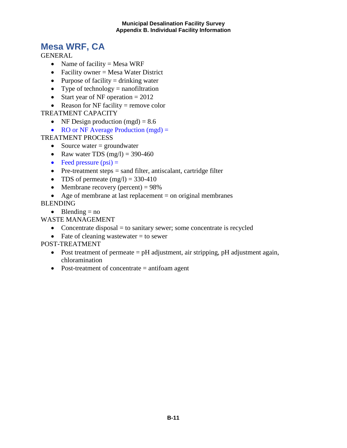## <span id="page-12-0"></span>**Mesa WRF, CA**

**GENERAL** 

- Name of facility = Mesa WRF
- Facility owner = Mesa Water District
- Purpose of facility  $=$  drinking water
- Type of technology  $=$  nanofiltration
- Start year of NF operation  $= 2012$
- Reason for NF facility  $=$  remove color

## TREATMENT CAPACITY

- NF Design production  $(mgd) = 8.6$
- RO or NF Average Production (mgd) =

TREATMENT PROCESS

- Source water  $=$  groundwater
- Raw water TDS  $(mg/l) = 390-460$
- Feed pressure  $(psi)$  =
- Pre-treatment steps = sand filter, antiscalant, cartridge filter
- TDS of permeate  $(mg/l) = 330-410$
- Membrane recovery (percent)  $= 98\%$
- Age of membrane at last replacement  $=$  on original membranes

BLENDING

• Blending  $=$  no

WASTE MANAGEMENT

- Concentrate disposal  $=$  to sanitary sewer; some concentrate is recycled
- Fate of cleaning wastewater  $=$  to sewer

- Post treatment of permeate = pH adjustment, air stripping, pH adjustment again, chloramination
- Post-treatment of concentrate = antifoam agent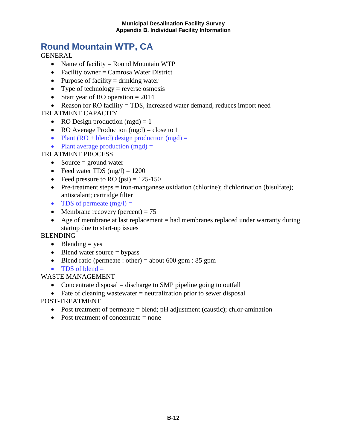## <span id="page-13-0"></span>**Round Mountain WTP, CA**

**GENERAL** 

- Name of facility = Round Mountain WTP
- Facility owner = Camrosa Water District
- Purpose of facility  $=$  drinking water
- Type of technology = reverse osmosis
- Start year of RO operation  $= 2014$

• Reason for RO facility = TDS, increased water demand, reduces import need TREATMENT CAPACITY

- RO Design production  $(mgd) = 1$
- RO Average Production (mgd) = close to 1
- Plant  $(RO + blend)$  design production  $(mgd) =$
- Plant average production  $(mgd)$  =

## TREATMENT PROCESS

- Source  $=$  ground water
- Feed water TDS  $(mg/l) = 1200$
- Feed pressure to RO  $(psi) = 125-150$
- Pre-treatment steps  $=$  iron-manganese oxidation (chlorine); dichlorination (bisulfate); antiscalant; cartridge filter
- TDS of permeate  $(mg/l) =$
- Membrane recovery (percent)  $= 75$
- Age of membrane at last replacement = had membranes replaced under warranty during startup due to start-up issues

BLENDING

- Blending  $=$  yes
- Blend water source  $=$  bypass
- Blend ratio (permeate : other) = about 600 gpm : 85 gpm
- TDS of blend  $=$

WASTE MANAGEMENT

- Concentrate disposal  $=$  discharge to SMP pipeline going to outfall
- Fate of cleaning wastewater  $=$  neutralization prior to sewer disposal

- Post treatment of permeate  $=$  blend; pH adjustment (caustic); chlor-amination
- Post treatment of concentrate  $=$  none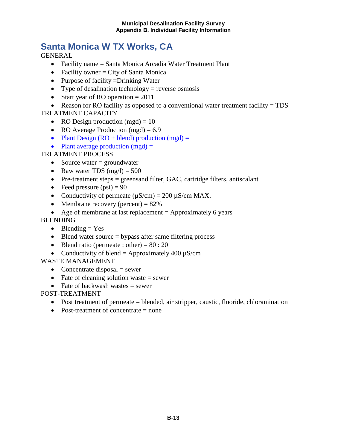## <span id="page-14-0"></span>**Santa Monica W TX Works, CA**

**GENERAL** 

- Facility name = Santa Monica Arcadia Water Treatment Plant
- Facility owner  $=$  City of Santa Monica
- Purpose of facility =Drinking Water
- Type of desalination technology = reverse osmosis
- Start year of RO operation  $= 2011$

• Reason for RO facility as opposed to a conventional water treatment facility = TDS TREATMENT CAPACITY

- RO Design production  $(mgd) = 10$
- RO Average Production (mgd) =  $6.9$
- Plant Design  $(RO + blend)$  production  $(mgd) =$
- Plant average production  $(mgd)$  =

## TREATMENT PROCESS

- Source water  $=$  groundwater
- Raw water TDS  $(mg/l) = 500$
- Pre-treatment steps  $=$  greensand filter, GAC, cartridge filters, antiscalant
- Feed pressure  $(psi) = 90$
- Conductivity of permeate  $(\mu S/cm) = 200 \mu S/cm MAX$ .
- Membrane recovery (percent)  $= 82\%$
- Age of membrane at last replacement  $=$  Approximately 6 years

#### BLENDING

- Blending  $=$  Yes
- Blend water source  $=$  bypass after same filtering process
- Blend ratio (permeate : other) =  $80:20$
- Conductivity of blend = Approximately 400  $\mu$ S/cm

## WASTE MANAGEMENT

- Concentrate disposal  $=$  sewer
- Fate of cleaning solution waste  $=$  sewer
- Fate of backwash wastes  $=$  sewer

- Post treatment of permeate = blended, air stripper, caustic, fluoride, chloramination
- Post-treatment of concentrate = none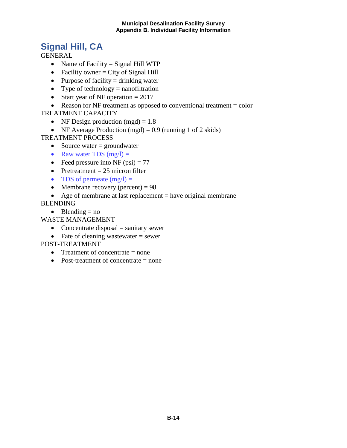## <span id="page-15-0"></span>**Signal Hill, CA**

GENERAL

- Name of Facility  $=$  Signal Hill WTP
- Facility owner  $=$  City of Signal Hill
- Purpose of facility  $=$  drinking water
- Type of technology  $=$  nanofiltration
- Start year of NF operation  $= 2017$
- Reason for NF treatment as opposed to conventional treatment  $=$  color TREATMENT CAPACITY
	- NF Design production  $(mgd) = 1.8$
	- NF Average Production (mgd) =  $0.9$  (running 1 of 2 skids)

## TREATMENT PROCESS

- Source water  $=$  groundwater
- Raw water TDS  $(mg/l) =$
- Feed pressure into NF  $(psi) = 77$
- Pretreatment  $= 25$  micron filter
- TDS of permeate  $(mg/l) =$
- Membrane recovery (percent)  $= 98$
- Age of membrane at last replacement  $=$  have original membrane

BLENDING

• Blending  $=$  no

WASTE MANAGEMENT

- Concentrate disposal  $=$  sanitary sewer
- Fate of cleaning wastewater  $=$  sewer

- Treatment of concentrate  $=$  none
- Post-treatment of concentrate = none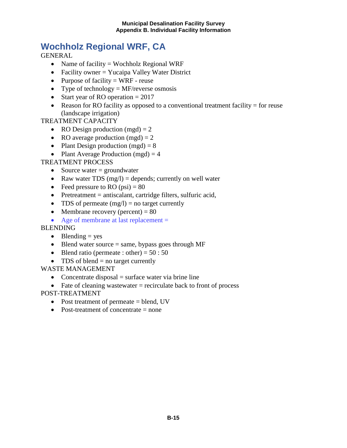## <span id="page-16-0"></span>**Wochholz Regional WRF, CA**

GENERAL

- Name of facility = Wochholz Regional WRF
- Facility owner = Yucaipa Valley Water District
- Purpose of facility  $= WRF$  reuse
- Type of technology  $=$  MF/reverse osmosis
- Start year of RO operation  $= 2017$
- Reason for RO facility as opposed to a conventional treatment facility  $=$  for reuse (landscape irrigation)

## TREATMENT CAPACITY

- RO Design production  $(mgd) = 2$
- RO average production  $(mgd) = 2$
- Plant Design production  $(mgd) = 8$
- Plant Average Production  $(mgd) = 4$

TREATMENT PROCESS

- Source water  $=$  groundwater
- Raw water TDS  $(mg/l) =$  depends; currently on well water
- Feed pressure to RO  $(psi) = 80$
- Pretreatment = antiscalant, cartridge filters, sulfuric acid,
- TDS of permeate  $(mg/l) = no$  target currently
- Membrane recovery (percent)  $= 80$
- Age of membrane at last replacement =

**BLENDING** 

- Blending  $=$  yes
- Blend water source  $=$  same, bypass goes through MF
- Blend ratio (permeate : other) =  $50:50$
- TDS of blend  $=$  no target currently

## WASTE MANAGEMENT

- Concentrate disposal  $=$  surface water via brine line
- Fate of cleaning wastewater  $=$  recirculate back to front of process

- Post treatment of permeate = blend, UV
- Post-treatment of concentrate  $=$  none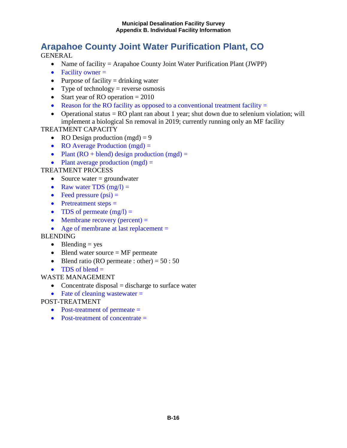## <span id="page-17-0"></span>**Arapahoe County Joint Water Purification Plant, CO**

**GENERAL** 

- Name of facility = Arapahoe County Joint Water Purification Plant (JWPP)
- Facility owner  $=$
- Purpose of facility  $=$  drinking water
- Type of technology = reverse osmosis
- Start year of RO operation  $= 2010$
- Reason for the RO facility as opposed to a conventional treatment facility  $=$
- Operational status  $=$  RO plant ran about 1 year; shut down due to selenium violation; will implement a biological Sn removal in 2019; currently running only an MF facility

TREATMENT CAPACITY

- RO Design production  $(mgd) = 9$
- RO Average Production (mgd) =
- Plant  $(RO + blend)$  design production  $(mgd) =$
- Plant average production  $(mgd)$  =

TREATMENT PROCESS

- Source water  $=$  groundwater
- Raw water TDS  $(mg/l) =$
- Feed pressure  $(psi)$  =
- Pretreatment steps =
- TDS of permeate  $(mg/l) =$
- Membrane recovery (percent)  $=$
- Age of membrane at last replacement =

BLENDING

- Blending  $=$  yes
- Blend water source  $=$  MF permeate
- Blend ratio (RO permeate : other) =  $50:50$
- TDS of blend  $=$

WASTE MANAGEMENT

- Concentrate disposal  $=$  discharge to surface water
- Fate of cleaning wastewater  $=$

- Post-treatment of permeate =
- Post-treatment of concentrate  $=$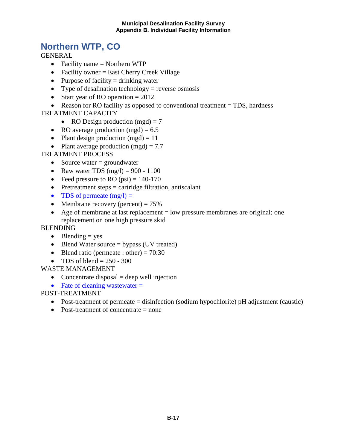## <span id="page-18-0"></span>**Northern WTP, CO**

GENERAL

- Facility name = Northern WTP
- Facility owner = East Cherry Creek Village
- Purpose of facility  $=$  drinking water
- Type of desalination technology = reverse osmosis
- Start year of RO operation  $= 2012$

• Reason for RO facility as opposed to conventional treatment = TDS, hardness TREATMENT CAPACITY

- RO Design production  $(mgd) = 7$
- RO average production  $(mgd) = 6.5$
- Plant design production  $(mgd) = 11$
- Plant average production  $(mgd) = 7.7$

## TREATMENT PROCESS

- Source water  $=$  groundwater
- Raw water TDS  $(mg/l) = 900 1100$
- Feed pressure to RO  $�i) = 140-170$
- Pretreatment steps  $=$  cartridge filtration, antiscalant
- TDS of permeate  $(mg/l) =$
- Membrane recovery (percent)  $= 75\%$
- Age of membrane at last replacement  $=$  low pressure membranes are original; one replacement on one high pressure skid

#### **BLENDING**

- Blending  $=$  yes
- Blend Water source  $=$  bypass (UV treated)
- Blend ratio (permeate : other) =  $70:30$
- TDS of blend  $= 250 300$

## WASTE MANAGEMENT

- Concentrate disposal  $=$  deep well injection
- Fate of cleaning wastewater  $=$

- Post-treatment of permeate = disinfection (sodium hypochlorite) pH adjustment (caustic)
- Post-treatment of concentrate = none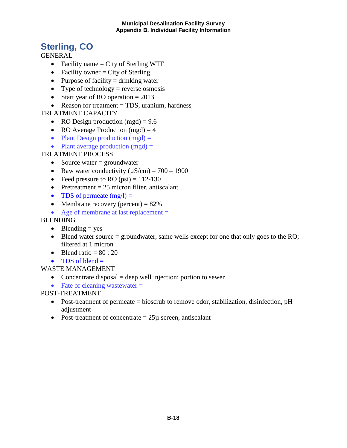## <span id="page-19-0"></span>**Sterling, CO**

**GENERAL** 

- Facility name = City of Sterling WTF
- Facility owner  $=$  City of Sterling
- Purpose of facility  $=$  drinking water
- Type of technology = reverse osmosis
- Start year of RO operation  $= 2013$
- Reason for treatment = TDS, uranium, hardness

## TREATMENT CAPACITY

- RO Design production  $(mgd) = 9.6$
- RO Average Production (mgd)  $=$  4
- Plant Design production  $(mgd) =$
- Plant average production  $(mgd) =$

## TREATMENT PROCESS

- Source water  $=$  groundwater
- Raw water conductivity  $(\mu S/cm) = 700 1900$
- Feed pressure to RO  $�i) = 112-130$
- Pretreatment  $= 25$  micron filter, antiscalant
- TDS of permeate  $(mg/l) =$
- Membrane recovery (percent)  $= 82\%$
- Age of membrane at last replacement =

## BLENDING

- Blending  $=$  yes
- Blend water source  $=$  groundwater, same wells except for one that only goes to the RO; filtered at 1 micron
- Blend ratio  $= 80 : 20$
- TDS of blend  $=$
- WASTE MANAGEMENT
	- Concentrate disposal  $=$  deep well injection; portion to sewer
	- Fate of cleaning wastewater  $=$

- Post-treatment of permeate = bioscrub to remove odor, stabilization, disinfection, pH adjustment
- Post-treatment of concentrate  $= 25\mu$  screen, antiscalant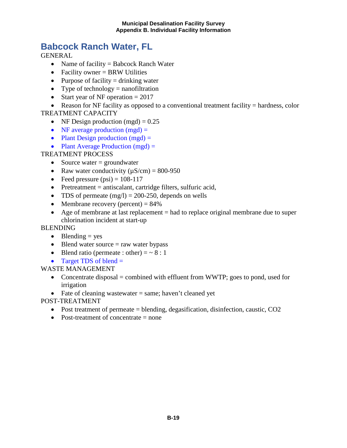## <span id="page-20-0"></span>**Babcock Ranch Water, FL**

**GENERAL** 

- Name of facility = Babcock Ranch Water
- Facility owner = BRW Utilities
- Purpose of facility  $=$  drinking water
- Type of technology  $=$  nanofiltration
- Start year of NF operation  $= 2017$

• Reason for NF facility as opposed to a conventional treatment facility  $=$  hardness, color TREATMENT CAPACITY

- NF Design production  $(mgd) = 0.25$
- NF average production  $(mgd) =$
- Plant Design production  $(mgd)$  =
- Plant Average Production  $(mgd)$  =

## TREATMENT PROCESS

- Source water  $=$  groundwater
- Raw water conductivity  $(\mu S/cm) = 800-950$
- Feed pressure  $(psi) = 108-117$
- Pretreatment = antiscalant, cartridge filters, sulfuric acid,
- TDS of permeate  $(mg/l) = 200-250$ , depends on wells
- Membrane recovery (percent)  $= 84\%$
- Age of membrane at last replacement = had to replace original membrane due to super chlorination incident at start-up

## **BLENDING**

- Blending  $=$  yes
- Blend water source  $=$  raw water bypass
- Blend ratio (permeate : other)  $=$   $\sim$  8 : 1
- Target TDS of blend  $=$

## WASTE MANAGEMENT

- Concentrate disposal  $=$  combined with effluent from WWTP; goes to pond, used for irrigation
- Fate of cleaning wastewater  $=$  same; haven't cleaned yet

- Post treatment of permeate = blending, degasification, disinfection, caustic, CO2
- Post-treatment of concentrate = none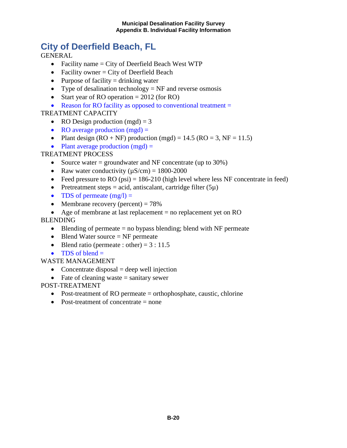## <span id="page-21-0"></span>**City of Deerfield Beach, FL**

**GENERAL** 

- Facility name  $=$  City of Deerfield Beach West WTP
- Facility owner  $=$  City of Deerfield Beach
- Purpose of facility  $=$  drinking water
- Type of desalination technology  $=$  NF and reverse osmosis
- Start year of RO operation  $= 2012$  (for RO)
- Reason for RO facility as opposed to conventional treatment =

## TREATMENT CAPACITY

- RO Design production  $(mgd) = 3$
- RO average production  $(mgd) =$
- Plant design  $(RO + NF)$  production  $(mgd) = 14.5$   $(RO = 3, NF = 11.5)$
- Plant average production  $(mgd)$  =

## TREATMENT PROCESS

- Source water  $=$  groundwater and NF concentrate (up to 30%)
- Raw water conductivity  $(\mu S/cm) = 1800-2000$
- Feed pressure to RO (psi) =  $186-210$  (high level where less NF concentrate in feed)
- Pretreatment steps = acid, antiscalant, cartridge filter  $(5\mu)$
- TDS of permeate  $(mg/l) =$
- Membrane recovery (percent)  $= 78\%$
- Age of membrane at last replacement = no replacement yet on RO

## BLENDING

- Blending of permeate  $=$  no bypass blending; blend with NF permeate
- Blend Water source  $=$  NF permeate
- Blend ratio (permeate : other) =  $3:11.5$
- TDS of blend  $=$

WASTE MANAGEMENT

- Concentrate disposal  $=$  deep well injection
- Fate of cleaning waste  $=$  sanitary sewer

- Post-treatment of RO permeate = orthophosphate, caustic, chlorine
- Post-treatment of concentrate = none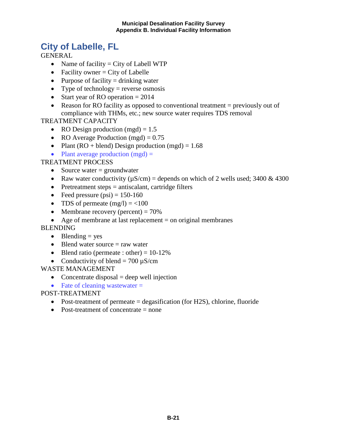## <span id="page-22-0"></span>**City of Labelle, FL**

**GENERAL** 

- Name of facility  $=$  City of Labell WTP
- Facility owner  $=$  City of Labelle
- Purpose of facility  $=$  drinking water
- Type of technology = reverse osmosis
- Start year of RO operation  $= 2014$
- Reason for RO facility as opposed to conventional treatment  $=$  previously out of compliance with THMs, etc.; new source water requires TDS removal

TREATMENT CAPACITY

- RO Design production (mgd)  $= 1.5$
- RO Average Production (mgd)  $= 0.75$
- Plant (RO + blend) Design production (mgd) =  $1.68$
- Plant average production  $(mgd) =$

TREATMENT PROCESS

- Source water  $=$  groundwater
- Raw water conductivity ( $\mu$ S/cm) = depends on which of 2 wells used; 3400 & 4300
- Pretreatment steps  $=$  antiscalant, cartridge filters
- Feed pressure  $(psi) = 150-160$
- TDS of permeate  $(mg/l) = <100$
- Membrane recovery (percent)  $= 70\%$
- Age of membrane at last replacement = on original membranes

## **BLENDING**

- Blending  $=$  yes
- Blend water source  $=$  raw water
- Blend ratio (permeate : other) =  $10-12\%$
- Conductivity of blend  $= 700 \mu$ S/cm

## WASTE MANAGEMENT

- Concentrate disposal  $=$  deep well injection
- Fate of cleaning wastewater  $=$

- Post-treatment of permeate = degasification (for H2S), chlorine, fluoride
- Post-treatment of concentrate = none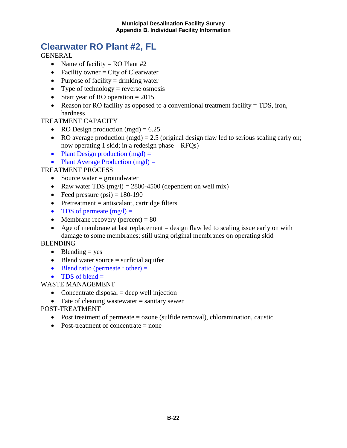## <span id="page-23-0"></span>**Clearwater RO Plant #2, FL**

**GENERAL** 

- Name of facility = RO Plant  $#2$
- Facility owner  $=$  City of Clearwater
- Purpose of facility  $=$  drinking water
- Type of technology = reverse osmosis
- Start year of RO operation  $= 2015$
- Reason for RO facility as opposed to a conventional treatment facility = TDS, iron, hardness

## TREATMENT CAPACITY

- RO Design production  $(mgd) = 6.25$
- RO average production (mgd) = 2.5 (original design flaw led to serious scaling early on; now operating 1 skid; in a redesign phase – RFQs)
- Plant Design production  $(mgd) =$
- Plant Average Production  $(mgd)$  =

## TREATMENT PROCESS

- Source water  $=$  groundwater
- Raw water TDS  $(mg/l) = 2800-4500$  (dependent on well mix)
- Feed pressure  $(psi) = 180-190$
- Pretreatment  $=$  antiscalant, cartridge filters
- TDS of permeate  $(mg/l) =$
- Membrane recovery (percent)  $= 80$
- Age of membrane at last replacement  $=$  design flaw led to scaling issue early on with damage to some membranes; still using original membranes on operating skid

BLENDING

- Blending  $=$  yes
- $\bullet$  Blend water source = surficial aquifer
- Blend ratio (permeate : other)  $=$
- TDS of blend  $=$

WASTE MANAGEMENT

- Concentrate disposal  $=$  deep well injection
- Fate of cleaning wastewater  $=$  sanitary sewer
- POST-TREATMENT
	- Post treatment of permeate = ozone (sulfide removal), chloramination, caustic
	- Post-treatment of concentrate  $=$  none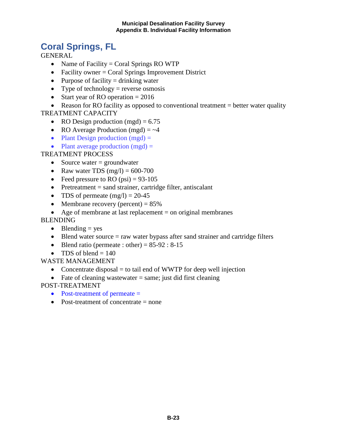## <span id="page-24-0"></span>**Coral Springs, FL**

GENERAL

- Name of Facility = Coral Springs RO WTP
- Facility owner = Coral Springs Improvement District
- Purpose of facility  $=$  drinking water
- Type of technology = reverse osmosis
- Start year of RO operation  $= 2016$

• Reason for RO facility as opposed to conventional treatment = better water quality TREATMENT CAPACITY

- RO Design production  $(mgd) = 6.75$
- RO Average Production (mgd)  $=$   $\sim$  4
- Plant Design production  $(mgd)$  =
- Plant average production  $(mgd)$  =

## TREATMENT PROCESS

- Source water  $=$  groundwater
- Raw water TDS  $(mg/l) = 600-700$
- Feed pressure to RO  $(psi) = 93-105$
- Pretreatment  $=$  sand strainer, cartridge filter, antiscalant
- TDS of permeate  $(mg/l) = 20-45$
- Membrane recovery (percent)  $= 85\%$
- Age of membrane at last replacement  $=$  on original membranes

## BLENDING

- Blending  $=$  yes
- Blend water source  $=$  raw water bypass after sand strainer and cartridge filters
- Blend ratio (permeate : other) =  $85-92 : 8-15$
- TDS of blend  $= 140$

## WASTE MANAGEMENT

- Concentrate disposal  $=$  to tail end of WWTP for deep well injection
- Fate of cleaning wastewater  $=$  same; just did first cleaning

- Post-treatment of permeate =
- Post-treatment of concentrate  $=$  none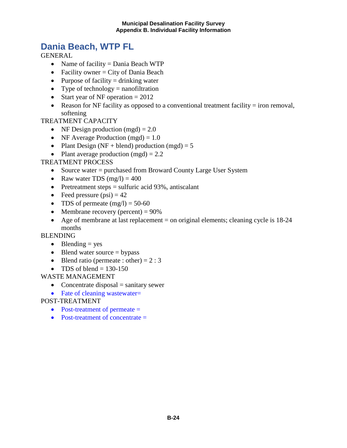## <span id="page-25-0"></span>**Dania Beach, WTP FL**

**GENERAL** 

- Name of facility = Dania Beach WTP
- Facility owner  $=$  City of Dania Beach
- Purpose of facility  $=$  drinking water
- Type of technology  $=$  nanofiltration
- Start year of NF operation  $= 2012$
- Reason for NF facility as opposed to a conventional treatment facility  $=$  iron removal, softening

## TREATMENT CAPACITY

- NF Design production  $(mgd) = 2.0$
- NF Average Production (mgd)  $= 1.0$
- Plant Design (NF + blend) production (mgd) =  $5$
- Plant average production  $(mgd) = 2.2$

## TREATMENT PROCESS

- Source water = purchased from Broward County Large User System
- Raw water TDS  $(mg/l) = 400$
- Pretreatment steps  $=$  sulfuric acid 93%, antiscalant
- Feed pressure  $(psi) = 42$
- TDS of permeate  $(mg/l) = 50-60$
- Membrane recovery (percent)  $= 90\%$
- Age of membrane at last replacement  $=$  on original elements; cleaning cycle is  $18-24$ months

## BLENDING

- Blending  $=$  yes
- Blend water source  $=$  bypass
- Blend ratio (permeate : other) =  $2:3$
- TDS of blend  $= 130-150$

## WASTE MANAGEMENT

- Concentrate disposal  $=$  sanitary sewer
- Fate of cleaning wastewater=
- POST-TREATMENT
	- Post-treatment of permeate =
	- Post-treatment of concentrate =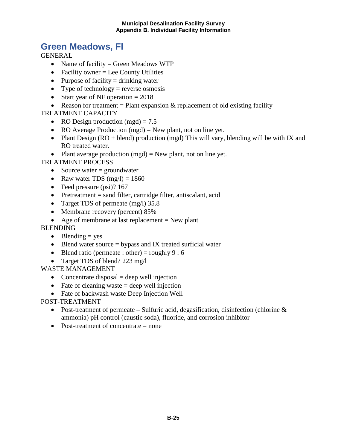## <span id="page-26-0"></span>**Green Meadows, Fl**

**GENERAL** 

- Name of facility = Green Meadows WTP
- Facility owner  $=$  Lee County Utilities
- Purpose of facility  $=$  drinking water
- Type of technology = reverse osmosis
- Start year of NF operation  $= 2018$
- Reason for treatment = Plant expansion  $\&$  replacement of old existing facility

TREATMENT CAPACITY

- RO Design production  $(mgd) = 7.5$
- RO Average Production (mgd) = New plant, not on line yet.
- Plant Design ( $RO + blend$ ) production (mgd) This will vary, blending will be with IX and RO treated water.
- Plant average production  $(mgd) = New plant$ , not on line yet.

TREATMENT PROCESS

- Source water  $=$  groundwater
- Raw water TDS  $(mg/l) = 1860$
- Feed pressure (psi)? 167
- Pretreatment = sand filter, cartridge filter, antiscalant, acid
- Target TDS of permeate (mg/l) 35.8
- Membrane recovery (percent) 85%
- Age of membrane at last replacement  $=$  New plant

**BLENDING** 

- Blending  $=$  yes
- Blend water source  $=$  bypass and IX treated surficial water
- Blend ratio (permeate : other) = roughly  $9:6$
- Target TDS of blend? 223 mg/l

WASTE MANAGEMENT

- Concentrate disposal  $=$  deep well injection
- Fate of cleaning waste  $=$  deep well injection
- Fate of backwash waste Deep Injection Well

- Post-treatment of permeate Sulfuric acid, degasification, disinfection (chlorine  $\&$ ammonia) pH control (caustic soda), fluoride, and corrosion inhibitor
- Post-treatment of concentrate  $=$  none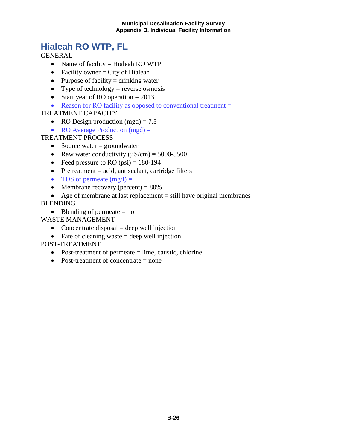## <span id="page-27-0"></span>**Hialeah RO WTP, FL**

**GENERAL** 

- Name of facility = Hialeah RO WTP
- Facility owner  $=$  City of Hialeah
- Purpose of facility  $=$  drinking water
- Type of technology = reverse osmosis
- Start year of RO operation = 2013
- Reason for RO facility as opposed to conventional treatment =

## TREATMENT CAPACITY

- RO Design production (mgd) =  $7.5$
- RO Average Production (mgd) =

TREATMENT PROCESS

- Source water  $=$  groundwater
- Raw water conductivity  $(\mu S/cm) = 5000-5500$
- Feed pressure to RO  $(psi) = 180-194$
- Pretreatment = acid, antiscalant, cartridge filters
- TDS of permeate  $(mg/l) =$
- Membrane recovery (percent)  $= 80\%$
- Age of membrane at last replacement  $=$  still have original membranes

BLENDING

• Blending of permeate  $=$  no

WASTE MANAGEMENT

- Concentrate disposal  $=$  deep well injection
- Fate of cleaning waste  $=$  deep well injection

- Post-treatment of permeate  $=$  lime, caustic, chlorine
- Post-treatment of concentrate  $=$  none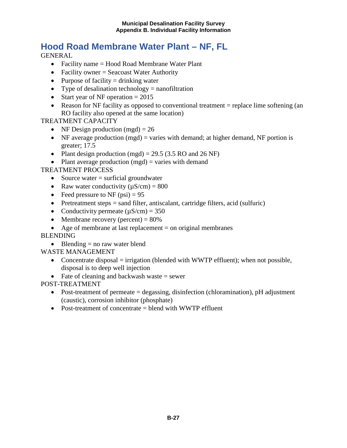## <span id="page-28-0"></span>**Hood Road Membrane Water Plant – NF, FL**

**GENERAL** 

- Facility name = Hood Road Membrane Water Plant
- Facility owner = Seacoast Water Authority
- Purpose of facility  $=$  drinking water
- Type of desalination technology  $=$  nanofiltration
- Start year of NF operation  $= 2015$
- Reason for NF facility as opposed to conventional treatment = replace lime softening (an RO facility also opened at the same location)

TREATMENT CAPACITY

- NF Design production  $(mgd) = 26$
- NF average production (mgd) = varies with demand; at higher demand, NF portion is greater; 17.5
- Plant design production (mgd) =  $29.5$  (3.5 RO and 26 NF)
- Plant average production  $(mgd)$  = varies with demand

TREATMENT PROCESS

- Source water = surficial groundwater
- Raw water conductivity  $(\mu S/cm) = 800$
- Feed pressure to NF  $(psi) = 95$
- Pretreatment steps = sand filter, antiscalant, cartridge filters, acid (sulfuric)
- Conductivity permeate  $(\mu S/cm) = 350$
- Membrane recovery (percent)  $= 80\%$
- Age of membrane at last replacement  $=$  on original membranes

## BLENDING

• Blending  $=$  no raw water blend

## WASTE MANAGEMENT

- Concentrate disposal = irrigation (blended with WWTP effluent); when not possible, disposal is to deep well injection
- Fate of cleaning and backwash waste  $=$  sewer

- Post-treatment of permeate = degassing, disinfection (chloramination), pH adjustment (caustic), corrosion inhibitor (phosphate)
- Post-treatment of concentrate = blend with WWTP effluent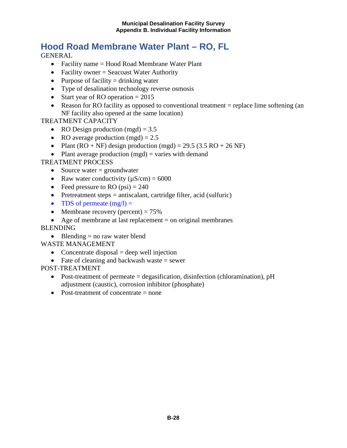## <span id="page-29-0"></span>**Hood Road Membrane Water Plant – RO, FL**

**GENERAL** 

- Facility name = Hood Road Membrane Water Plant
- Facility owner = Seacoast Water Authority
- Purpose of facility  $=$  drinking water
- Type of desalination technology reverse osmosis
- Start year of RO operation  $= 2015$
- Reason for RO facility as opposed to conventional treatment = replace lime softening (an NF facility also opened at the same location)

TREATMENT CAPACITY

- RO Design production (mgd) =  $3.5$
- RO average production  $(mgd) = 2.5$
- Plant  $(RO + NF)$  design production  $(mgd) = 29.5 (3.5 RO + 26 NF)$
- Plant average production  $(mgd)$  = varies with demand

TREATMENT PROCESS

- Source water  $=$  groundwater
- Raw water conductivity  $(\mu S/cm) = 6000$
- Feed pressure to RO  $(psi) = 240$
- Pretreatment steps = antiscalant, cartridge filter, acid (sulfuric)
- TDS of permeate  $(mg/l) =$
- Membrane recovery (percent)  $= 75\%$
- Age of membrane at last replacement = on original membranes

**BLENDING** 

• Blending  $=$  no raw water blend

WASTE MANAGEMENT

- Concentrate disposal  $=$  deep well injection
- Fate of cleaning and backwash waste  $=$  sewer

- Post-treatment of permeate = degasification, disinfection (chloramination), pH adjustment (caustic), corrosion inhibitor (phosphate)
- Post-treatment of concentrate  $=$  none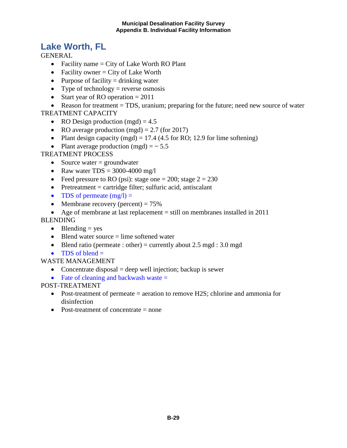## <span id="page-30-0"></span>**Lake Worth, FL**

**GENERAL** 

- Facility name  $=$  City of Lake Worth RO Plant
- Facility owner  $=$  City of Lake Worth
- Purpose of facility  $=$  drinking water
- Type of technology = reverse osmosis
- Start year of RO operation  $= 2011$

• Reason for treatment = TDS, uranium; preparing for the future; need new source of water TREATMENT CAPACITY

- RO Design production (mgd)  $= 4.5$
- RO average production  $(mgd) = 2.7$  (for 2017)
- Plant design capacity (mgd) = 17.4 (4.5 for RO; 12.9 for lime softening)
- Plant average production (mgd)  $=$   $\sim$  5.5

## TREATMENT PROCESS

- Source water  $=$  groundwater
- Raw water  $TDS = 3000-4000$  mg/l
- Feed pressure to RO (psi): stage one = 200; stage  $2 = 230$
- Pretreatment  $=$  cartridge filter; sulfuric acid, antiscalant
- TDS of permeate  $(mg/l) =$
- Membrane recovery (percent)  $= 75\%$
- Age of membrane at last replacement  $=$  still on membranes installed in 2011

## BLENDING

- Blending  $=$  yes
- Blend water source  $=$  lime softened water
- Blend ratio (permeate : other) = currently about 2.5 mgd : 3.0 mgd
- TDS of blend  $=$

## WASTE MANAGEMENT

- Concentrate disposal  $=$  deep well injection; backup is sewer
- Fate of cleaning and backwash waste  $=$

- Post-treatment of permeate = aeration to remove H2S; chlorine and ammonia for disinfection
- Post-treatment of concentrate  $=$  none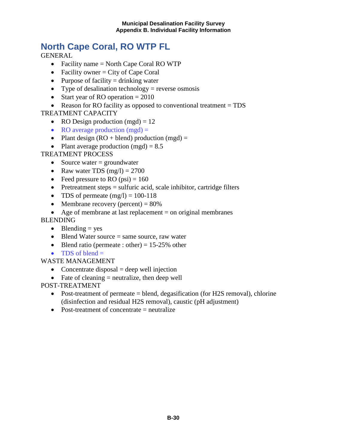## <span id="page-31-0"></span>**North Cape Coral, RO WTP FL**

**GENERAL** 

- Facility name = North Cape Coral RO WTP
- Facility owner  $=$  City of Cape Coral
- Purpose of facility  $=$  drinking water
- Type of desalination technology = reverse osmosis
- Start year of RO operation  $= 2010$
- Reason for RO facility as opposed to conventional treatment = TDS

## TREATMENT CAPACITY

- RO Design production  $(mgd) = 12$
- RO average production  $(mgd)$  =
- Plant design  $(RO + blend)$  production  $(mgd) =$
- Plant average production  $(mgd) = 8.5$

## TREATMENT PROCESS

- Source water  $=$  groundwater
- Raw water TDS  $(mg/l) = 2700$
- Feed pressure to RO (psi)  $= 160$
- Pretreatment steps  $=$  sulfuric acid, scale inhibitor, cartridge filters
- TDS of permeate  $(mg/l) = 100-118$
- Membrane recovery (percent)  $= 80\%$
- Age of membrane at last replacement  $=$  on original membranes

## BLENDING

- Blending  $=$  yes
- Blend Water source = same source, raw water
- Blend ratio (permeate : other) =  $15-25%$  other
- TDS of blend  $=$

## WASTE MANAGEMENT

- Concentrate disposal  $=$  deep well injection
- Fate of cleaning  $=$  neutralize, then deep well

- Post-treatment of permeate = blend, degasification (for H2S removal), chlorine (disinfection and residual H2S removal), caustic (pH adjustment)
- Post-treatment of concentrate = neutralize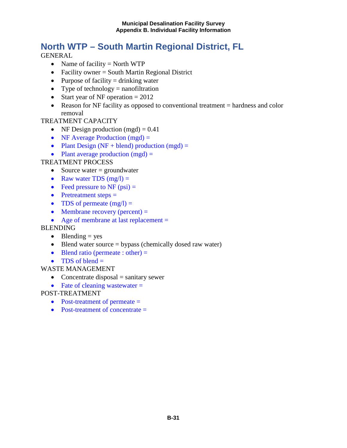## <span id="page-32-0"></span>**North WTP – South Martin Regional District, FL**

**GENERAL** 

- Name of facility  $=$  North WTP
- Facility owner = South Martin Regional District
- Purpose of facility  $=$  drinking water
- Type of technology  $=$  nanofiltration
- Start year of NF operation  $= 2012$
- Reason for NF facility as opposed to conventional treatment = hardness and color removal

## TREATMENT CAPACITY

- NF Design production  $(mgd) = 0.41$
- NF Average Production (mgd) =
- Plant Design (NF + blend) production (mgd) =
- Plant average production  $(mgd) =$

## TREATMENT PROCESS

- Source water  $=$  groundwater
- Raw water TDS  $(mg/l) =$
- Feed pressure to NF  $(psi)$  =
- Pretreatment steps =
- TDS of permeate  $(mg/l) =$
- Membrane recovery (percent)  $=$
- Age of membrane at last replacement =

## **BLENDING**

- Blending  $=$  yes
- Blend water source = bypass (chemically dosed raw water)
- Blend ratio (permeate : other)  $=$
- TDS of blend  $=$
- WASTE MANAGEMENT
	- Concentrate disposal  $=$  sanitary sewer
	- Fate of cleaning wastewater  $=$

- Post-treatment of permeate =
- Post-treatment of concentrate =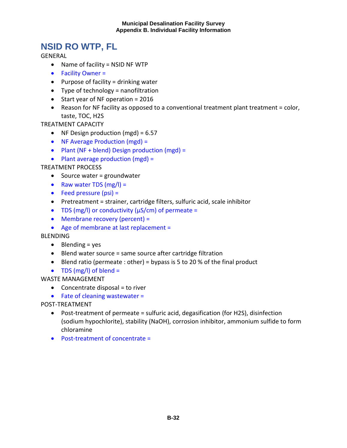## <span id="page-33-0"></span>**NSID RO WTP, FL**

GENERAL

- Name of facility = NSID NF WTP
- Facility Owner =
- Purpose of facility = drinking water
- Type of technology = nanofiltration
- Start year of NF operation = 2016
- Reason for NF facility as opposed to a conventional treatment plant treatment = color, taste, TOC, H2S

TREATMENT CAPACITY

- NF Design production (mgd) = 6.57
- NF Average Production (mgd) =
- Plant (NF + blend) Design production (mgd) =
- Plant average production (mgd) =

TREATMENT PROCESS

- Source water = groundwater
- Raw water TDS  $(mg/I) =$
- Feed pressure (psi) =
- Pretreatment = strainer, cartridge filters, sulfuric acid, scale inhibitor
- TDS (mg/l) or conductivity ( $\mu$ S/cm) of permeate =
- Membrane recovery (percent) =
- Age of membrane at last replacement =

BLENDING

- Blending = yes
- Blend water source = same source after cartridge filtration
- Blend ratio (permeate : other) = bypass is 5 to 20 % of the final product
- TDS (mg/l) of blend =

WASTE MANAGEMENT

- $\bullet$  Concentrate disposal = to river
- Fate of cleaning wastewater =

- Post-treatment of permeate = sulfuric acid, degasification (for H2S), disinfection (sodium hypochlorite), stability (NaOH), corrosion inhibitor, ammonium sulfide to form chloramine
- Post-treatment of concentrate =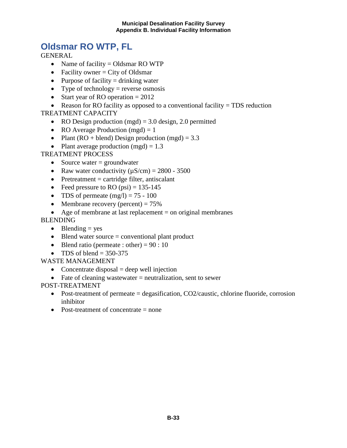## <span id="page-34-0"></span>**Oldsmar RO WTP, FL**

**GENERAL** 

- Name of facility = Oldsmar RO WTP
- Facility owner  $=$  City of Oldsmar
- Purpose of facility  $=$  drinking water
- Type of technology = reverse osmosis
- Start year of RO operation  $= 2012$

• Reason for RO facility as opposed to a conventional facility = TDS reduction TREATMENT CAPACITY

- RO Design production (mgd)  $= 3.0$  design, 2.0 permitted
- RO Average Production  $(mgd) = 1$
- Plant (RO + blend) Design production (mgd) =  $3.3$
- Plant average production  $(mgd) = 1.3$

## TREATMENT PROCESS

- Source water  $=$  groundwater
- Raw water conductivity  $(\mu S/cm) = 2800 3500$
- Pretreatment  $=$  cartridge filter, antiscalant
- Feed pressure to RO (psi) =  $135-145$
- TDS of permeate  $(mg/l) = 75 100$
- Membrane recovery (percent)  $= 75\%$
- Age of membrane at last replacement  $=$  on original membranes

## BLENDING

- Blending  $=$  yes
- $\bullet$  Blend water source = conventional plant product
- Blend ratio (permeate : other) =  $90:10$
- TDS of blend  $= 350-375$

## WASTE MANAGEMENT

- Concentrate disposal  $=$  deep well injection
- Fate of cleaning wastewater  $=$  neutralization, sent to sewer

- Post-treatment of permeate = degasification, CO2/caustic, chlorine fluoride, corrosion inhibitor
- Post-treatment of concentrate  $=$  none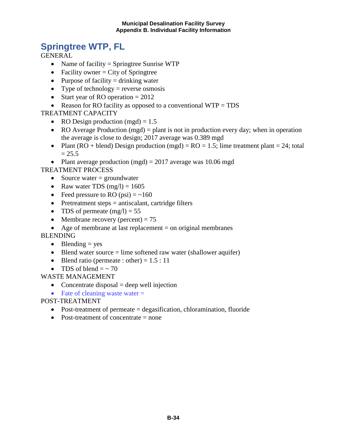## <span id="page-35-0"></span>**Springtree WTP, FL**

**GENERAL** 

- Name of facility = Springtree Sunrise WTP
- Facility owner  $=$  City of Springtree
- Purpose of facility  $=$  drinking water
- Type of technology = reverse osmosis
- Start year of RO operation  $= 2012$
- Reason for RO facility as opposed to a conventional WTP = TDS

TREATMENT CAPACITY

- RO Design production  $(mgd) = 1.5$
- RO Average Production (mgd) = plant is not in production every day; when in operation the average is close to design; 2017 average was 0.389 mgd
- Plant (RO + blend) Design production (mgd) =  $RO = 1.5$ ; lime treatment plant = 24; total  $= 25.5$
- Plant average production (mgd) =  $2017$  average was 10.06 mgd

TREATMENT PROCESS

- Source water  $=$  groundwater
- Raw water TDS  $(mg/l) = 1605$
- Feed pressure to RO  $(psi) = -160$
- Pretreatment steps = antiscalant, cartridge filters
- TDS of permeate  $(mg/l) = 55$
- Membrane recovery (percent)  $= 75$
- Age of membrane at last replacement  $=$  on original membranes

BLENDING

- Blending  $=$  yes
- Blend water source = lime softened raw water (shallower aquifer)
- Blend ratio (permeate : other) =  $1.5:11$
- TDS of blend  $=$   $\sim$  70

WASTE MANAGEMENT

- Concentrate disposal  $=$  deep well injection
- Fate of cleaning waste water  $=$

- Post-treatment of permeate = degasification, chloramination, fluoride
- Post-treatment of concentrate = none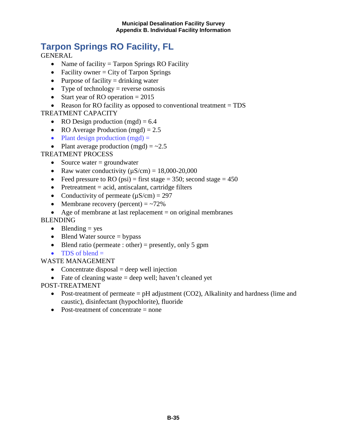# **Tarpon Springs RO FaciIity, FL**

**GENERAL** 

- Name of facility  $=$  Tarpon Springs RO Facility
- Facility owner  $=$  City of Tarpon Springs
- Purpose of facility  $=$  drinking water
- Type of technology = reverse osmosis
- Start year of RO operation  $= 2015$
- Reason for RO facility as opposed to conventional treatment = TDS

#### TREATMENT CAPACITY

- RO Design production  $(mgd) = 6.4$
- RO Average Production (mgd)  $= 2.5$
- Plant design production  $(mgd)$  =
- Plant average production  $(mgd) = -2.5$

### TREATMENT PROCESS

- Source water  $=$  groundwater
- Raw water conductivity  $(\mu S/cm) = 18,000-20,000$
- Feed pressure to RO (psi) = first stage = 350; second stage =  $450$
- Pretreatment  $=$  acid, antiscalant, cartridge filters
- Conductivity of permeate  $(\mu S/cm) = 297$
- Membrane recovery (percent)  $=$   $\sim$ 72%
- Age of membrane at last replacement  $=$  on original membranes

#### BLENDING

- Blending  $=$  yes
- Blend Water source  $=$  bypass
- Blend ratio (permeate : other) = presently, only 5 gpm
- TDS of blend  $=$

#### WASTE MANAGEMENT

- Concentrate disposal  $=$  deep well injection
- Fate of cleaning waste  $=$  deep well; haven't cleaned yet

- Post-treatment of permeate  $=$  pH adjustment (CO2), Alkalinity and hardness (lime and caustic), disinfectant (hypochlorite), fluoride
- Post-treatment of concentrate = none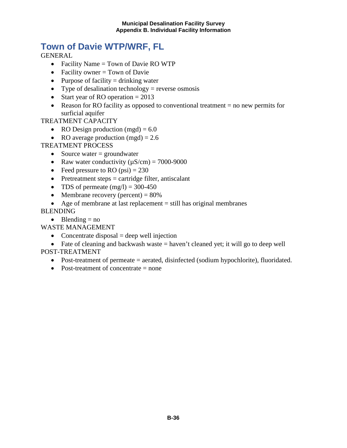# **Town of Davie WTP/WRF, FL**

**GENERAL** 

- Facility Name = Town of Davie RO WTP
- Facility owner  $=$  Town of Davie
- Purpose of facility  $=$  drinking water
- Type of desalination technology = reverse osmosis
- Start year of RO operation  $= 2013$
- Reason for RO facility as opposed to conventional treatment = no new permits for surficial aquifer

#### TREATMENT CAPACITY

- RO Design production  $(mgd) = 6.0$
- RO average production  $(mgd) = 2.6$

### TREATMENT PROCESS

- Source water  $=$  groundwater
- Raw water conductivity  $(\mu S/cm) = 7000-9000$
- Feed pressure to RO  $(psi) = 230$
- Pretreatment steps = cartridge filter, antiscalant
- TDS of permeate  $(mg/l) = 300-450$
- Membrane recovery (percent)  $= 80\%$
- Age of membrane at last replacement = still has original membranes

### BLENDING

• Blending  $=$  no

WASTE MANAGEMENT

• Concentrate disposal  $=$  deep well injection

• Fate of cleaning and backwash waste  $=$  haven't cleaned yet; it will go to deep well POST-TREATMENT

- Post-treatment of permeate = aerated, disinfected (sodium hypochlorite), fluoridated.
- Post-treatment of concentrate = none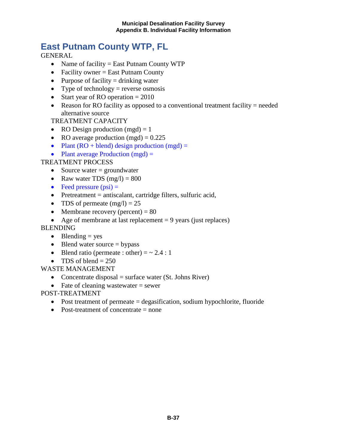# **East Putnam County WTP, FL**

**GENERAL** 

- Name of facility = East Putnam County WTP
- Facility owner  $=$  East Putnam County
- Purpose of facility  $=$  drinking water
- Type of technology = reverse osmosis
- Start year of RO operation  $= 2010$
- Reason for RO facility as opposed to a conventional treatment facility  $=$  needed alternative source

TREATMENT CAPACITY

- RO Design production  $(mgd) = 1$
- RO average production  $(mgd) = 0.225$
- Plant  $(RO + blend)$  design production  $(mgd) =$
- Plant average Production  $(mgd)$  =

#### TREATMENT PROCESS

- Source water  $=$  groundwater
- Raw water TDS  $(mg/l) = 800$
- Feed pressure  $(psi)$  =
- Pretreatment = antiscalant, cartridge filters, sulfuric acid,
- TDS of permeate  $(mg/l) = 25$
- Membrane recovery (percent)  $= 80$
- Age of membrane at last replacement  $= 9$  years (just replaces)

#### **BLENDING**

- Blending  $=$  yes
- Blend water source  $=$  bypass
- Blend ratio (permeate : other)  $=$   $\sim$  2.4 : 1
- TDS of blend  $= 250$

### WASTE MANAGEMENT

- Concentrate disposal  $=$  surface water (St. Johns River)
- Fate of cleaning wastewater  $=$  sewer

- Post treatment of permeate = degasification, sodium hypochlorite, fluoride
- Post-treatment of concentrate  $=$  none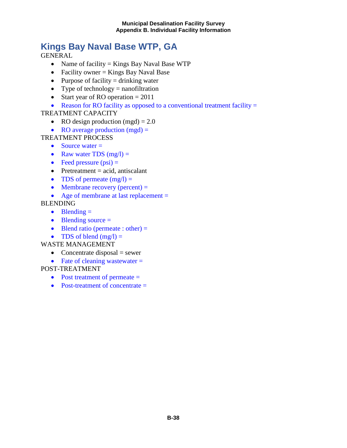# **Kings Bay Naval Base WTP, GA**

GENERAL

- Name of facility = Kings Bay Naval Base WTP
- Facility owner  $=$  Kings Bay Naval Base
- Purpose of facility  $=$  drinking water
- Type of technology  $=$  nanofiltration
- Start year of RO operation  $= 2011$
- Reason for RO facility as opposed to a conventional treatment facility  $=$

#### TREATMENT CAPACITY

- RO design production  $(mgd) = 2.0$
- RO average production  $(mgd)$  =
- TREATMENT PROCESS
	- Source water  $=$
	- Raw water TDS  $(mg/l) =$
	- Feed pressure  $(psi)$  =
	- Pretreatment  $=$  acid, antiscalant
	- TDS of permeate  $(mg/l) =$
	- Membrane recovery (percent)  $=$
	- Age of membrane at last replacement =

#### BLENDING

- Blending  $=$
- $\bullet$  Blending source  $=$
- Blend ratio (permeate : other)  $=$
- TDS of blend  $(mg/l) =$

#### WASTE MANAGEMENT

- Concentrate disposal  $=$  sewer
- Fate of cleaning wastewater  $=$

- Post treatment of permeate =
- Post-treatment of concentrate  $=$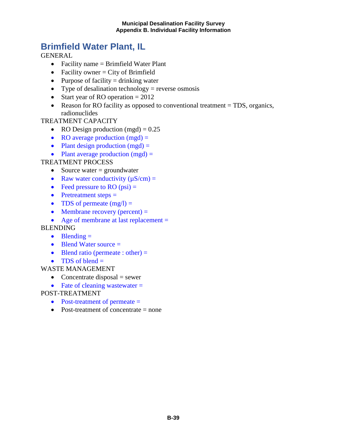# **Brimfield Water Plant, IL**

GENERAL

- Facility name = Brimfield Water Plant
- Facility owner  $=$  City of Brimfield
- Purpose of facility  $=$  drinking water
- Type of desalination technology = reverse osmosis
- Start year of RO operation  $= 2012$
- Reason for RO facility as opposed to conventional treatment = TDS, organics, radionuclides

#### TREATMENT CAPACITY

- RO Design production  $(mgd) = 0.25$
- RO average production  $(mgd) =$
- Plant design production  $(mgd)$  =
- Plant average production  $(mgd) =$

TREATMENT PROCESS

- Source water  $=$  groundwater
- Raw water conductivity  $(\mu S/cm)$  =
- Feed pressure to RO  $(psi)$  =
- Pretreatment steps  $=$
- TDS of permeate  $(mg/l) =$
- Membrane recovery (percent)  $=$
- Age of membrane at last replacement =

### **BLENDING**

- Blending  $=$
- Blend Water source =
- Blend ratio (permeate : other)  $=$
- TDS of blend  $=$
- WASTE MANAGEMENT
	- Concentrate disposal  $=$  sewer
	- Fate of cleaning wastewater  $=$

- Post-treatment of permeate =
- Post-treatment of concentrate  $=$  none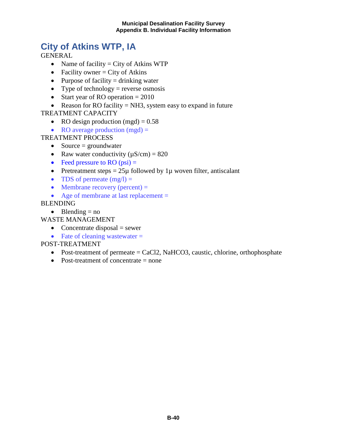# **City of Atkins WTP, IA**

**GENERAL** 

- Name of facility  $=$  City of Atkins WTP
- Facility owner  $=$  City of Atkins
- Purpose of facility  $=$  drinking water
- Type of technology = reverse osmosis
- Start year of RO operation  $= 2010$
- Reason for RO facility  $=$  NH3, system easy to expand in future

### TREATMENT CAPACITY

- RO design production  $(mgd) = 0.58$
- RO average production  $(mgd)$  =

#### TREATMENT PROCESS

- Source = groundwater
- Raw water conductivity  $(\mu S/cm) = 820$
- Feed pressure to RO  $(psi)$  =
- Pretreatment steps  $= 25\mu$  followed by 1 $\mu$  woven filter, antiscalant
- TDS of permeate  $(mg/l) =$
- Membrane recovery (percent)  $=$
- Age of membrane at last replacement =

BLENDING

• Blending  $=$  no

### WASTE MANAGEMENT

- Concentrate disposal  $=$  sewer
- Fate of cleaning wastewater  $=$

- Post-treatment of permeate  $=$  CaCl2, NaHCO3, caustic, chlorine, orthophosphate
- Post-treatment of concentrate  $=$  none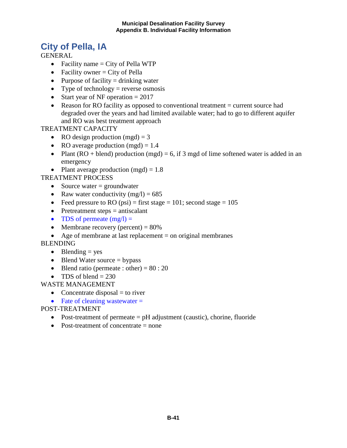# **City of Pella, IA**

**GENERAL** 

- Facility name  $=$  City of Pella WTP
- Facility owner  $=$  City of Pella
- Purpose of facility  $=$  drinking water
- Type of technology = reverse osmosis
- Start year of NF operation  $= 2017$
- Reason for RO facility as opposed to conventional treatment = current source had degraded over the years and had limited available water; had to go to different aquifer and RO was best treatment approach

TREATMENT CAPACITY

- RO design production  $(mgd) = 3$
- RO average production  $(mgd) = 1.4$
- Plant (RO + blend) production (mgd) = 6, if 3 mgd of lime softened water is added in an emergency
- Plant average production  $(mgd) = 1.8$

TREATMENT PROCESS

- Source water  $=$  groundwater
- Raw water conductivity  $(mg/l) = 685$
- Feed pressure to RO (psi) = first stage = 101; second stage =  $105$
- Pretreatment steps = antiscalant
- TDS of permeate  $(mg/l) =$
- Membrane recovery (percent)  $= 80\%$
- Age of membrane at last replacement  $=$  on original membranes

BLENDING

- Blending  $=$  yes
- Blend Water source = bypass
- Blend ratio (permeate : other) =  $80:20$
- TDS of blend  $= 230$

WASTE MANAGEMENT

- Concentrate disposal  $=$  to river
- Fate of cleaning wastewater  $=$
- POST-TREATMENT
	- Post-treatment of permeate  $=$  pH adjustment (caustic), chorine, fluoride
	- Post-treatment of concentrate  $=$  none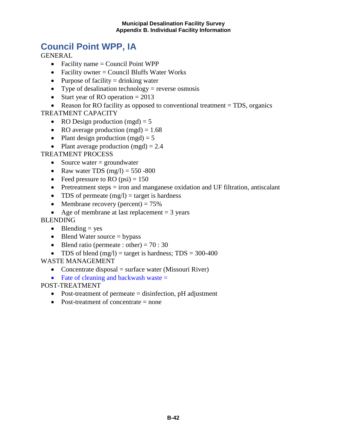#### **Municipal Desalination Facility Survey Appendix B. Individual Facility Information**

# **Council Point WPP, IA**

**GENERAL** 

- Facility name  $=$  Council Point WPP
- Facility owner  $=$  Council Bluffs Water Works
- Purpose of facility  $=$  drinking water
- Type of desalination technology = reverse osmosis
- Start year of RO operation  $= 2013$

• Reason for RO facility as opposed to conventional treatment = TDS, organics TREATMENT CAPACITY

- RO Design production  $(mgd) = 5$
- RO average production  $(mgd) = 1.68$
- Plant design production  $(mgd) = 5$
- Plant average production  $(mgd) = 2.4$

### TREATMENT PROCESS

- Source water  $=$  groundwater
- Raw water TDS  $(mg/l) = 550 800$
- Feed pressure to RO  $(psi) = 150$
- Pretreatment steps  $=$  iron and manganese oxidation and UF filtration, antiscalant
- TDS of permeate  $(mg/l) = \text{target}$  is hardness
- Membrane recovery (percent)  $= 75\%$
- Age of membrane at last replacement  $= 3$  years

#### BLENDING

- Blending  $=$  yes
- Blend Water source  $=$  bypass
- Blend ratio (permeate : other) =  $70:30$
- TDS of blend  $(mg/l)$  = target is hardness; TDS = 300-400

#### WASTE MANAGEMENT

- Concentrate disposal = surface water (Missouri River)
- Fate of cleaning and backwash waste  $=$

- Post-treatment of permeate = disinfection, pH adjustment
- Post-treatment of concentrate = none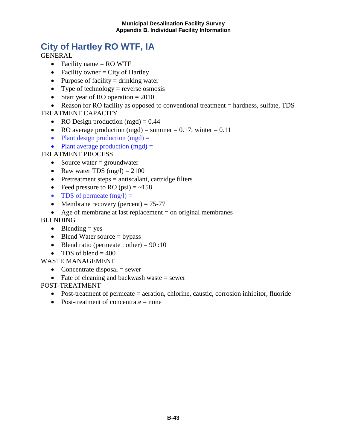#### **Municipal Desalination Facility Survey Appendix B. Individual Facility Information**

# **City of Hartley RO WTF, IA**

**GENERAL** 

- Facility name  $=$  RO WTF
- Facility owner  $=$  City of Hartley
- Purpose of facility  $=$  drinking water
- Type of technology = reverse osmosis
- Start year of RO operation  $= 2010$

• Reason for RO facility as opposed to conventional treatment = hardness, sulfate, TDS TREATMENT CAPACITY

- RO Design production  $(mgd) = 0.44$
- RO average production (mgd) = summer = 0.17; winter = 0.11
- Plant design production  $(mgd)$  =
- Plant average production  $(mgd)$  =

#### TREATMENT PROCESS

- Source water  $=$  groundwater
- Raw water TDS  $(mg/l) = 2100$
- Pretreatment steps = antiscalant, cartridge filters
- Feed pressure to RO  $(psi) = -158$
- TDS of permeate  $(mg/l) =$
- Membrane recovery (percent)  $= 75-77$
- Age of membrane at last replacement  $=$  on original membranes

#### BLENDING

- Blending  $=$  yes
- Blend Water source  $=$  bypass
- Blend ratio (permeate : other) =  $90:10$
- TDS of blend  $= 400$

#### WASTE MANAGEMENT

- Concentrate disposal  $=$  sewer
- Fate of cleaning and backwash waste  $=$  sewer

- Post-treatment of permeate = aeration, chlorine, caustic, corrosion inhibitor, fluoride
- Post-treatment of concentrate = none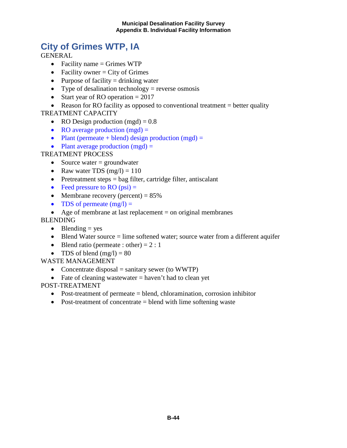### **City of Grimes WTP, IA**

**GENERAL** 

- Facility name  $=$  Grimes WTP
- Facility owner  $=$  City of Grimes
- Purpose of facility  $=$  drinking water
- Type of desalination technology = reverse osmosis
- Start year of RO operation  $= 2017$

• Reason for RO facility as opposed to conventional treatment  $=$  better quality TREATMENT CAPACITY

- RO Design production  $(mgd) = 0.8$
- RO average production  $(mgd)$  =
- Plant (permeate + blend) design production  $(mgd)$  =
- Plant average production  $(mgd) =$

#### TREATMENT PROCESS

- Source water  $=$  groundwater
- Raw water TDS  $(mg/l) = 110$
- Pretreatment steps  $=$  bag filter, cartridge filter, antiscalant
- Feed pressure to RO  $(psi)$  =
- Membrane recovery (percent)  $= 85\%$
- TDS of permeate  $(mg/l) =$

• Age of membrane at last replacement  $=$  on original membranes

- BLENDING
	- Blending  $=$  yes
	- Blend Water source  $=$  lime softened water; source water from a different aquifer
	- Blend ratio (permeate : other) =  $2:1$
	- TDS of blend  $(mg/l) = 80$

WASTE MANAGEMENT

- Concentrate disposal  $=$  sanitary sewer (to WWTP)
- Fate of cleaning wastewater  $=$  haven't had to clean yet

- Post-treatment of permeate = blend, chloramination, corrosion inhibitor
- Post-treatment of concentrate  $=$  blend with lime softening waste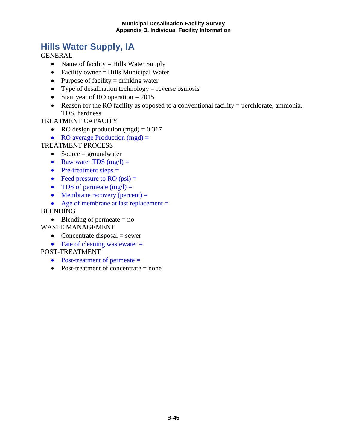#### **Municipal Desalination Facility Survey Appendix B. Individual Facility Information**

# **Hills Water Supply, IA**

GENERAL

- Name of facility = Hills Water Supply
- Facility owner = Hills Municipal Water
- Purpose of facility  $=$  drinking water
- Type of desalination technology  $=$  reverse osmosis
- Start year of RO operation  $= 2015$
- Reason for the RO facility as opposed to a conventional facility = perchlorate, ammonia, TDS, hardness

#### TREATMENT CAPACITY

- RO design production (mgd)  $= 0.317$
- RO average Production (mgd) =

#### TREATMENT PROCESS

- Source  $=$  groundwater
- Raw water TDS  $(mg/l) =$
- Pre-treatment steps  $=$
- Feed pressure to RO  $(psi)$  =
- TDS of permeate  $(mg/l) =$
- Membrane recovery (percent)  $=$

#### • Age of membrane at last replacement =

BLENDING

• Blending of permeate  $=$  no

#### WASTE MANAGEMENT

- Concentrate disposal  $=$  sewer
- Fate of cleaning wastewater  $=$

- Post-treatment of permeate =
- Post-treatment of concentrate = none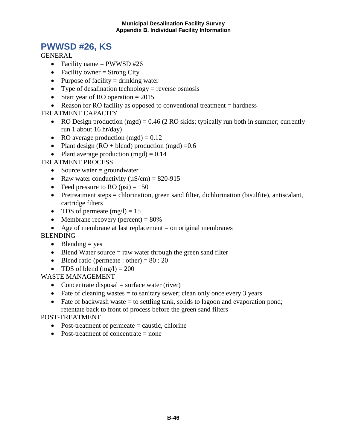### **PWWSD #26, KS**

**GENERAL** 

- Facility name  $=$  PWWSD #26
- Facility owner  $=$  Strong City
- Purpose of facility  $=$  drinking water
- Type of desalination technology = reverse osmosis
- Start year of RO operation  $= 2015$
- Reason for RO facility as opposed to conventional treatment  $=$  hardness

#### TREATMENT CAPACITY

- RO Design production (mgd) =  $0.46$  (2 RO skids; typically run both in summer; currently run 1 about 16 hr/day)
- RO average production  $(mgd) = 0.12$
- Plant design  $(RO + blend)$  production  $(mgd) = 0.6$
- Plant average production  $(mgd) = 0.14$

TREATMENT PROCESS

- Source water  $=$  groundwater
- Raw water conductivity  $(\mu S/cm) = 820-915$
- Feed pressure to RO  $(psi) = 150$
- Pretreatment steps = chlorination, green sand filter, dichlorination (bisulfite), antiscalant, cartridge filters
- TDS of permeate  $(mg/l) = 15$
- Membrane recovery (percent)  $= 80\%$
- Age of membrane at last replacement  $=$  on original membranes

BLENDING

- Blending  $=$  yes
- Blend Water source  $=$  raw water through the green sand filter
- Blend ratio (permeate : other) =  $80:20$
- TDS of blend  $(mg/l) = 200$

### WASTE MANAGEMENT

- Concentrate disposal  $=$  surface water (river)
- Fate of cleaning wastes  $=$  to sanitary sewer; clean only once every 3 years
- Fate of backwash waste  $=$  to settling tank, solids to lagoon and evaporation pond; retentate back to front of process before the green sand filters

- Post-treatment of permeate = caustic, chlorine
- Post-treatment of concentrate = none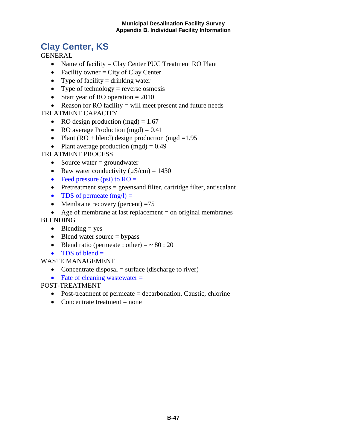# **Clay Center, KS**

**GENERAL** 

- Name of facility = Clay Center PUC Treatment RO Plant
- Facility owner  $=$  City of Clay Center
- Type of facility  $=$  drinking water
- Type of technology = reverse osmosis
- Start year of RO operation  $= 2010$
- Reason for RO facility = will meet present and future needs

### TREATMENT CAPACITY

- RO design production  $(mgd) = 1.67$
- RO average Production  $(mgd) = 0.41$
- Plant  $(RO + blend)$  design production  $(mgd = 1.95$
- Plant average production  $(mgd) = 0.49$

### TREATMENT PROCESS

- Source water  $=$  groundwater
- Raw water conductivity  $(\mu S/cm) = 1430$
- Feed pressure (psi) to  $RO =$
- Pretreatment steps  $=$  greens and filter, cartridge filter, antiscalant
- TDS of permeate  $(mg/l) =$
- Membrane recovery (percent)  $=75$
- Age of membrane at last replacement  $=$  on original membranes

### BLENDING

- Blending  $=$  yes
- Blend water source  $=$  bypass
- Blend ratio (permeate : other)  $=$   $\sim$  80 : 20
- TDS of blend  $=$

### WASTE MANAGEMENT

- Concentrate disposal  $=$  surface (discharge to river)
- Fate of cleaning wastewater  $=$

- Post-treatment of permeate = decarbonation, Caustic, chlorine
- Concentrate treatment  $=$  none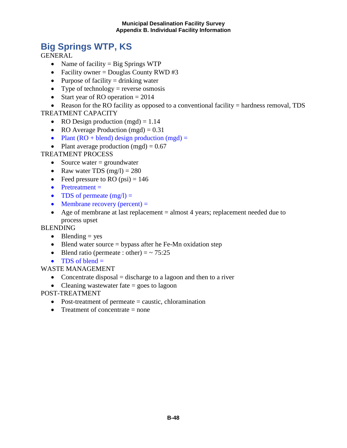# **Big Springs WTP, KS**

**GENERAL** 

- Name of facility  $=$  Big Springs WTP
- Facility owner = Douglas County RWD  $#3$
- Purpose of facility  $=$  drinking water
- Type of technology = reverse osmosis
- Start year of RO operation  $= 2014$

• Reason for the RO facility as opposed to a conventional facility = hardness removal, TDS TREATMENT CAPACITY

- RO Design production  $(mgd) = 1.14$
- RO Average Production (mgd) =  $0.31$
- Plant  $(RO + blend)$  design production  $(mgd) =$
- Plant average production  $(mgd) = 0.67$

#### TREATMENT PROCESS

- Source water  $=$  groundwater
- Raw water TDS  $(mg/l) = 280$
- Feed pressure to RO  $(psi) = 146$
- Pretreatment  $=$
- TDS of permeate  $(mg/l) =$
- Membrane recovery (percent)  $=$
- Age of membrane at last replacement = almost 4 years; replacement needed due to process upset

#### **BLENDING**

- Blending  $=$  yes
- Blend water source  $=$  bypass after he Fe-Mn oxidation step
- Blend ratio (permeate : other)  $=$   $\sim$  75:25
- TDS of blend  $=$

#### WASTE MANAGEMENT

- Concentrate disposal  $=$  discharge to a lagoon and then to a river
- Cleaning wastewater fate = goes to lagoon

- Post-treatment of permeate = caustic, chloramination
- Treatment of concentrate  $=$  none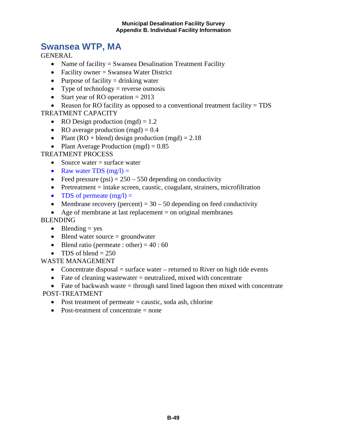#### **Municipal Desalination Facility Survey Appendix B. Individual Facility Information**

### **Swansea WTP, MA**

**GENERAL** 

- Name of facility = Swansea Desalination Treatment Facility
- Facility owner = Swansea Water District
- Purpose of facility  $=$  drinking water
- Type of technology = reverse osmosis
- Start year of RO operation  $= 2013$

• Reason for RO facility as opposed to a conventional treatment facility = TDS TREATMENT CAPACITY

- RO Design production  $(mgd) = 1.2$
- RO average production  $(mgd) = 0.4$
- Plant (RO + blend) design production (mgd) =  $2.18$
- Plant Average Production (mgd)  $= 0.85$

#### TREATMENT PROCESS

- Source water  $=$  surface water
- Raw water TDS  $(mg/l) =$
- Feed pressure (psi)  $= 250 550$  depending on conductivity
- Pretreatment  $=$  intake screen, caustic, coagulant, strainers, microfiltration
- TDS of permeate  $(mg/l) =$
- Membrane recovery (percent) =  $30 50$  depending on feed conductivity
- Age of membrane at last replacement  $=$  on original membranes

#### BLENDING

- Blending  $=$  yes
- Blend water source  $=$  groundwater
- Blend ratio (permeate : other) =  $40:60$
- TDS of blend  $= 250$

#### WASTE MANAGEMENT

- Concentrate disposal  $=$  surface water  $-$  returned to River on high tide events
- Fate of cleaning wastewater  $=$  neutralized, mixed with concentrate

• Fate of backwash waste  $=$  through sand lined lagoon then mixed with concentrate POST-TREATMENT

- Post treatment of permeate  $=$  caustic, soda ash, chlorine
- Post-treatment of concentrate = none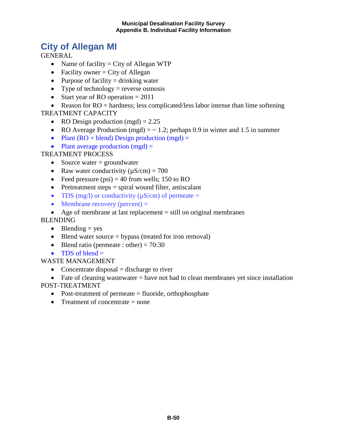### **City of Allegan MI**

**GENERAL** 

- Name of facility  $=$  City of Allegan WTP
- Facility owner  $=$  City of Allegan
- Purpose of facility  $=$  drinking water
- Type of technology = reverse osmosis
- Start year of RO operation  $= 2011$

• Reason for  $RO =$  hardness; less complicated/less labor intense than lime softening TREATMENT CAPACITY

- RO Design production  $(mgd) = 2.25$
- RO Average Production (mgd)  $=$   $\sim$  1.2; perhaps 0.9 in winter and 1.5 in summer
- Plant  $(RO + blend)$  Design production  $(mgd) =$
- Plant average production  $(mgd)$  =

### TREATMENT PROCESS

- Source water  $=$  groundwater
- Raw water conductivity  $(\mu S/cm) = 700$
- Feed pressure  $(psi) = 40$  from wells; 150 to RO
- Pretreatment steps  $=$  spiral wound filter, antiscalant
- TDS (mg/l) or conductivity  $(\mu S/cm)$  of permeate =
- Membrane recovery (percent)  $=$
- Age of membrane at last replacement = still on original membranes

#### BLENDING

- Blending  $=$  yes
- Blend water source  $=$  bypass (treated for iron removal)
- Blend ratio (permeate : other) =  $70:30$
- TDS of blend  $=$

WASTE MANAGEMENT

- Concentrate disposal  $=$  discharge to river
- Fate of cleaning wastewater  $=$  have not had to clean membranes yet since installation

- Post-treatment of permeate = fluoride, orthophosphate
- Treatment of concentrate  $=$  none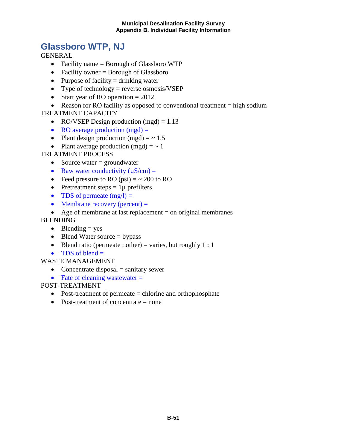#### **Municipal Desalination Facility Survey Appendix B. Individual Facility Information**

### **Glassboro WTP, NJ**

**GENERAL** 

- Facility name = Borough of Glassboro WTP
- Facility owner  $=$  Borough of Glassboro
- Purpose of facility  $=$  drinking water
- Type of technology = reverse osmosis/VSEP
- Start year of RO operation  $= 2012$

• Reason for RO facility as opposed to conventional treatment  $=$  high sodium TREATMENT CAPACITY

- RO/VSEP Design production  $(mgd) = 1.13$
- RO average production  $(mgd) =$
- Plant design production (mgd)  $=$   $\sim$  1.5
- Plant average production  $(mgd) = \sim 1$

#### TREATMENT PROCESS

- Source water  $=$  groundwater
- Raw water conductivity  $(\mu S/cm)$  =
- Feed pressure to RO (psi)  $=$   $\sim$  200 to RO
- Pretreatment steps  $= 1\mu$  prefilters
- TDS of permeate  $(mg/l) =$
- Membrane recovery (percent)  $=$
- Age of membrane at last replacement  $=$  on original membranes

#### BLENDING

- Blending  $=$  yes
- Blend Water source  $=$  bypass
- Blend ratio (permeate : other) = varies, but roughly  $1:1$
- TDS of blend  $=$

#### WASTE MANAGEMENT

- Concentrate disposal  $=$  sanitary sewer
- Fate of cleaning wastewater  $=$

- Post-treatment of permeate = chlorine and orthophosphate
- Post-treatment of concentrate = none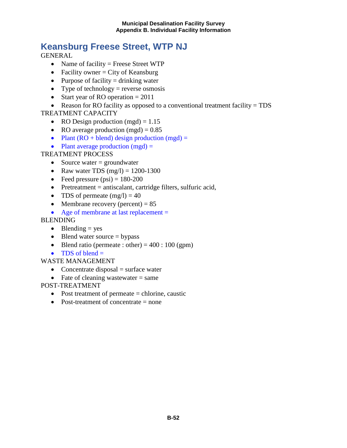# **Keansburg Freese Street, WTP NJ**

**GENERAL** 

- Name of facility = Freese Street WTP
- Facility owner  $=$  City of Keansburg
- Purpose of facility  $=$  drinking water
- Type of technology = reverse osmosis
- Start year of RO operation  $= 2011$
- Reason for RO facility as opposed to a conventional treatment facility = TDS

TREATMENT CAPACITY

- RO Design production  $(mgd) = 1.15$
- RO average production  $(mgd) = 0.85$
- Plant  $(RO + blend)$  design production  $(mgd) =$
- Plant average production  $(mgd) =$

### TREATMENT PROCESS

- Source water  $=$  groundwater
- Raw water TDS  $(mg/l) = 1200-1300$
- Feed pressure  $(psi) = 180-200$
- Pretreatment = antiscalant, cartridge filters, sulfuric acid,
- TDS of permeate  $(mg/l) = 40$
- Membrane recovery (percent)  $= 85$
- Age of membrane at last replacement =

### BLENDING

- Blending  $=$  yes
- Blend water source  $=$  bypass
- Blend ratio (permeate : other) =  $400 : 100$  (gpm)
- TDS of blend  $=$

#### WASTE MANAGEMENT

- Concentrate disposal  $=$  surface water
- Fate of cleaning wastewater  $=$  same

- Post treatment of permeate = chlorine, caustic
- Post-treatment of concentrate  $=$  none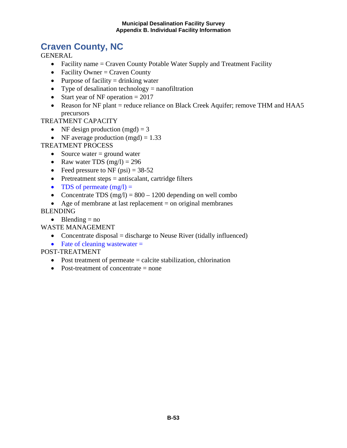# **Craven County, NC**

GENERAL

- Facility name = Craven County Potable Water Supply and Treatment Facility
- Facility Owner = Craven County
- Purpose of facility  $=$  drinking water
- Type of desalination technology  $=$  nanofiltration
- Start year of NF operation  $= 2017$
- Reason for NF plant = reduce reliance on Black Creek Aquifer; remove THM and HAA5 precursors

TREATMENT CAPACITY

- NF design production  $(mgd) = 3$
- NF average production  $(mgd) = 1.33$

#### TREATMENT PROCESS

- Source water  $=$  ground water
- Raw water TDS  $(mg/l) = 296$
- Feed pressure to NF  $(psi) = 38-52$
- Pretreatment steps = antiscalant, cartridge filters
- TDS of permeate  $(mg/l) =$
- Concentrate TDS  $(mg/l) = 800 1200$  depending on well combo
- Age of membrane at last replacement  $=$  on original membranes

BLENDING

• Blending  $=$  no

WASTE MANAGEMENT

- Concentrate disposal  $=$  discharge to Neuse River (tidally influenced)
- Fate of cleaning wastewater  $=$

- Post treatment of permeate  $=$  calcite stabilization, chlorination
- Post-treatment of concentrate  $=$  none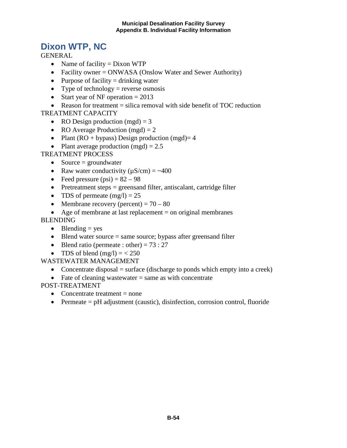### **Dixon WTP, NC**

**GENERAL** 

- Name of facility  $=$  Dixon WTP
- Facility owner = ONWASA (Onslow Water and Sewer Authority)
- Purpose of facility  $=$  drinking water
- Type of technology = reverse osmosis
- Start year of NF operation  $= 2013$

• Reason for treatment  $=$  silica removal with side benefit of TOC reduction TREATMENT CAPACITY

- RO Design production  $(mgd) = 3$
- RO Average Production (mgd) =  $2$
- Plant (RO + bypass) Design production (mgd) = 4
- Plant average production  $(mgd) = 2.5$

#### TREATMENT PROCESS

- Source  $=$  groundwater
- Raw water conductivity  $(\mu S/cm) = -400$
- Feed pressure  $(psi) = 82 98$
- Pretreatment steps = greensand filter, antiscalant, cartridge filter
- TDS of permeate  $(mg/l) = 25$
- Membrane recovery (percent)  $= 70 80$
- Age of membrane at last replacement  $=$  on original membranes

#### BLENDING

- Blending  $=$  yes
- Blend water source  $=$  same source; bypass after greensand filter
- Blend ratio (permeate : other) =  $73:27$
- TDS of blend  $(mg/l) = < 250$

#### WASTEWATER MANAGEMENT

- Concentrate disposal = surface (discharge to ponds which empty into a creek)
- Fate of cleaning wastewater  $=$  same as with concentrate

- Concentrate treatment  $=$  none
- Permeate  $=$  pH adjustment (caustic), disinfection, corrosion control, fluoride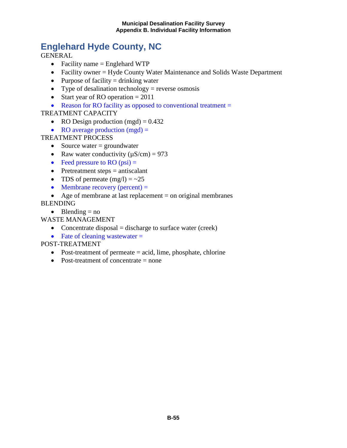# **Englehard Hyde County, NC**

GENERAL

- Facility name = Englehard WTP
- Facility owner = Hyde County Water Maintenance and Solids Waste Department
- Purpose of facility  $=$  drinking water
- Type of desalination technology = reverse osmosis
- Start year of RO operation  $= 2011$
- Reason for RO facility as opposed to conventional treatment =

### TREATMENT CAPACITY

- RO Design production  $(mgd) = 0.432$
- RO average production  $(mgd) =$

TREATMENT PROCESS

- Source water  $=$  groundwater
- Raw water conductivity  $(\mu S/cm) = 973$
- Feed pressure to RO  $(psi)$  =
- Pretreatment steps = antiscalant
- TDS of permeate  $(mg/l) = -25$
- Membrane recovery (percent)  $=$
- Age of membrane at last replacement  $=$  on original membranes

BLENDING

• Blending  $=$  no

WASTE MANAGEMENT

- Concentrate disposal  $=$  discharge to surface water (creek)
- Fate of cleaning wastewater  $=$

- Post-treatment of permeate  $=$  acid, lime, phosphate, chlorine
- Post-treatment of concentrate  $=$  none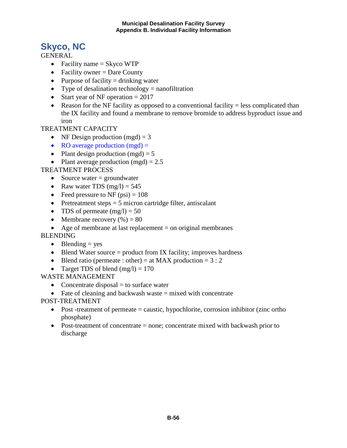# **Skyco, NC**

**GENERAL** 

- Facility name  $=$  Skyco WTP
- Facility owner  $=$  Dare County
- Purpose of facility  $=$  drinking water
- Type of desalination technology  $=$  nanofiltration
- Start year of NF operation  $= 2017$
- Reason for the NF facility as opposed to a conventional facility  $=$  less complicated than the IX facility and found a membrane to remove bromide to address byproduct issue and iron

TREATMENT CAPACITY

- NF Design production  $(mgd) = 3$
- RO average production  $(mgd) =$
- Plant design production  $(mgd) = 5$
- Plant average production  $(mgd) = 2.5$

TREATMENT PROCESS

- Source water  $=$  groundwater
- Raw water TDS  $(mg/l) = 545$
- Feed pressure to NF  $(psi) = 108$
- Pretreatment steps  $= 5$  micron cartridge filter, antiscalant
- TDS of permeate  $(mg/l) = 50$
- Membrane recovery  $(\%)=80$
- Age of membrane at last replacement  $=$  on original membranes

BLENDING

- Blending  $=$  yes
- Blend Water source  $=$  product from IX facility; improves hardness
- Blend ratio (permeate : other) = at MAX production =  $3:2$
- Target TDS of blend  $(mg/l) = 170$

WASTE MANAGEMENT

- Concentrate disposal  $=$  to surface water
- Fate of cleaning and backwash waste  $=$  mixed with concentrate

- Post -treatment of permeate  $=$  caustic, hypochlorite, corrosion inhibitor (zinc ortho phosphate)
- Post-treatment of concentrate = none; concentrate mixed with backwash prior to discharge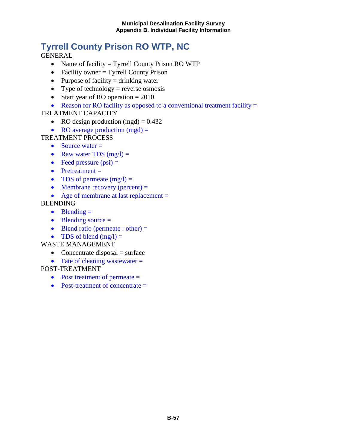# **Tyrrell County Prison RO WTP, NC**

GENERAL

- Name of facility = Tyrrell County Prison RO WTP
- Facility owner = Tyrrell County Prison
- Purpose of facility  $=$  drinking water
- Type of technology = reverse osmosis
- Start year of RO operation  $= 2010$
- Reason for RO facility as opposed to a conventional treatment facility  $=$

### TREATMENT CAPACITY

- RO design production (mgd)  $= 0.432$
- RO average production  $(mgd)$  =
- TREATMENT PROCESS
	- Source water  $=$
	- Raw water TDS  $(mg/l) =$
	- Feed pressure  $(psi)$  =
	- Pretreatment =
	- TDS of permeate  $(mg/l) =$
	- Membrane recovery (percent)  $=$
	- Age of membrane at last replacement =

#### BLENDING

- Blending  $=$
- Blending source =
- Blend ratio (permeate : other)  $=$
- TDS of blend  $(mg/l) =$

#### WASTE MANAGEMENT

- Concentrate disposal  $=$  surface
- Fate of cleaning wastewater  $=$

- Post treatment of permeate  $=$
- Post-treatment of concentrate  $=$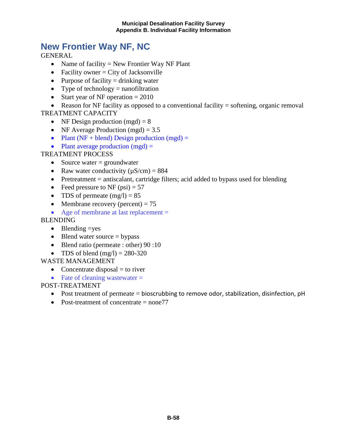### **New Frontier Way NF, NC**

GENERAL

- Name of facility = New Frontier Way NF Plant
- Facility owner  $=$  City of Jacksonville
- Purpose of facility  $=$  drinking water
- Type of technology  $=$  nanofiltration
- Start year of NF operation  $= 2010$

• Reason for NF facility as opposed to a conventional facility = softening, organic removal TREATMENT CAPACITY

- NF Design production  $(mgd) = 8$
- NF Average Production (mgd)  $= 3.5$
- Plant ( $NF + blend$ ) Design production (mgd) =
- Plant average production  $(mgd)$  =

### TREATMENT PROCESS

- Source water  $=$  groundwater
- Raw water conductivity  $(\mu S/cm) = 884$
- Pretreatment = antiscalant, cartridge filters; acid added to bypass used for blending
- Feed pressure to NF  $(psi) = 57$
- TDS of permeate  $(mg/l) = 85$
- Membrane recovery (percent)  $= 75$
- Age of membrane at last replacement =

#### BLENDING

- Blending  $=$ yes
- Blend water source  $=$  bypass
- Blend ratio (permeate : other) 90 :10
- TDS of blend  $(mg/l) = 280-320$

#### WASTE MANAGEMENT

- Concentrate disposal  $=$  to river
- Fate of cleaning wastewater  $=$

- Post treatment of permeate = bioscrubbing to remove odor, stabilization, disinfection, pH
- Post-treatment of concentrate  $=$  none 77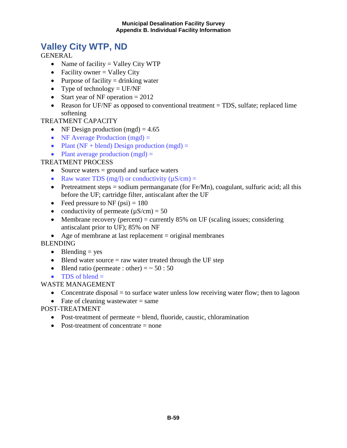# **Valley City WTP, ND**

**GENERAL** 

- Name of facility  $=$  Valley City WTP
- Facility owner  $=$  Valley City
- Purpose of facility  $=$  drinking water
- Type of technology  $=$  UF/NF
- Start year of NF operation  $= 2012$
- Reason for UF/NF as opposed to conventional treatment = TDS, sulfate; replaced lime softening

#### TREATMENT CAPACITY

- NF Design production (mgd)  $= 4.65$
- NF Average Production  $(mgd)$  =
- Plant ( $NF + blend$ ) Design production ( $mgd$ ) =
- Plant average production  $(mgd) =$

#### TREATMENT PROCESS

- Source waters = ground and surface waters
- Raw water TDS (mg/l) or conductivity  $(\mu S/cm) =$
- Pretreatment steps = sodium permanganate (for Fe/Mn), coagulant, sulfuric acid; all this before the UF; cartridge filter, antiscalant after the UF
- Feed pressure to NF  $(psi) = 180$
- conductivity of permeate  $(\mu S/cm) = 50$
- Membrane recovery (percent) = currently 85% on UF (scaling issues; considering antiscalant prior to UF); 85% on NF
- Age of membrane at last replacement  $=$  original membranes

BLENDING

- Blending  $=$  yes
- Blend water source  $=$  raw water treated through the UF step
- Blend ratio (permeate : other) =  $\sim 50 : 50$
- TDS of blend  $=$

### WASTE MANAGEMENT

- Concentrate disposal  $=$  to surface water unless low receiving water flow; then to lagoon
- Fate of cleaning wastewater  $=$  same
- POST-TREATMENT
	- Post-treatment of permeate = blend, fluoride, caustic, chloramination
	- Post-treatment of concentrate  $=$  none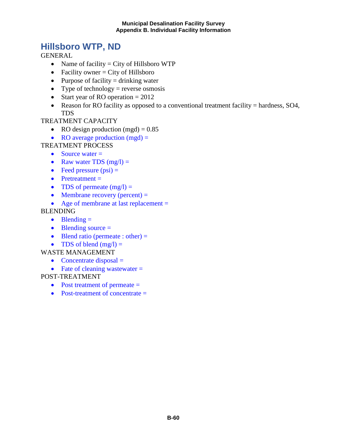### **Hillsboro WTP, ND**

GENERAL

- Name of facility  $=$  City of Hillsboro WTP
- Facility owner  $=$  City of Hillsboro
- Purpose of facility  $=$  drinking water
- Type of technology = reverse osmosis
- Start year of RO operation  $= 2012$
- Reason for RO facility as opposed to a conventional treatment facility = hardness, SO4, TDS

#### TREATMENT CAPACITY

- RO design production  $(mgd) = 0.85$
- RO average production  $(mgd)$  =

#### TREATMENT PROCESS

- Source water  $=$
- Raw water TDS  $(mg/l) =$
- Feed pressure  $(psi) =$
- Pretreatment  $=$
- TDS of permeate  $(mg/l) =$
- Membrane recovery (percent)  $=$

#### • Age of membrane at last replacement =

#### BLENDING

- $\bullet$  Blending  $=$
- Blending source  $=$
- Blend ratio (permeate : other)  $=$
- TDS of blend  $(mg/l) =$

#### WASTE MANAGEMENT

- Concentrate disposal  $=$
- Fate of cleaning wastewater  $=$

- Post treatment of permeate =
- Post-treatment of concentrate  $=$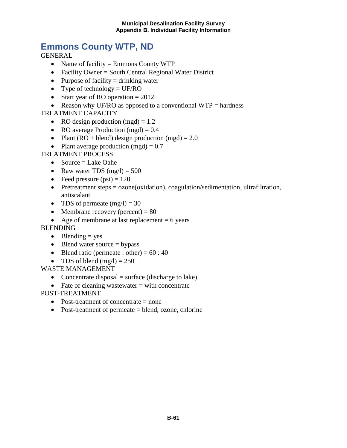# **Emmons County WTP, ND**

**GENERAL** 

- Name of facility = Emmons County WTP
- Facility Owner = South Central Regional Water District
- Purpose of facility  $=$  drinking water
- Type of technology  $=$  UF/RO
- Start year of RO operation  $= 2012$
- Reason why UF/RO as opposed to a conventional WTP = hardness

TREATMENT CAPACITY

- RO design production (mgd)  $= 1.2$
- RO average Production (mgd)  $= 0.4$
- Plant (RO + blend) design production (mgd) =  $2.0$
- Plant average production  $(mgd) = 0.7$

TREATMENT PROCESS

- Source  $=$  Lake Oahe
- Raw water TDS  $(mg/l) = 500$
- Feed pressure  $(psi) = 120$
- Pretreatment steps = ozone(oxidation), coagulation/sedimentation, ultrafiltration, antiscalant
- TDS of permeate  $(mg/l) = 30$
- Membrane recovery (percent)  $= 80$
- Age of membrane at last replacement  $= 6$  years

**BLENDING** 

- Blending  $=$  yes
- Blend water source  $=$  bypass
- Blend ratio (permeate : other) =  $60:40$
- TDS of blend  $(mg/l) = 250$

WASTE MANAGEMENT

- Concentrate disposal  $=$  surface (discharge to lake)
- Fate of cleaning wastewater  $=$  with concentrate

- Post-treatment of concentrate = none
- Post-treatment of permeate = blend, ozone, chlorine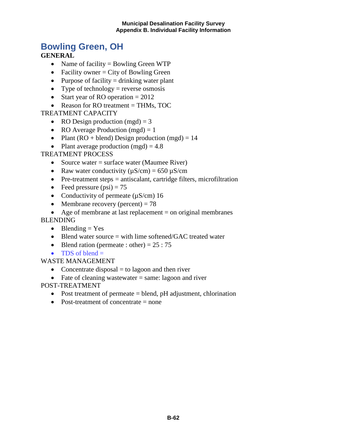#### **Municipal Desalination Facility Survey Appendix B. Individual Facility Information**

### **Bowling Green, OH**

### **GENERAL**

- Name of facility = Bowling Green WTP
- Facility owner  $=$  City of Bowling Green
- Purpose of facility  $=$  drinking water plant
- Type of technology = reverse osmosis
- Start year of RO operation  $= 2012$
- Reason for RO treatment = THMs, TOC

#### TREATMENT CAPACITY

- RO Design production  $(mgd) = 3$
- RO Average Production  $(mgd) = 1$
- Plant (RO + blend) Design production (mgd) =  $14$
- Plant average production  $(mgd) = 4.8$

### TREATMENT PROCESS

- Source water  $=$  surface water (Maumee River)
- Raw water conductivity  $(\mu S/cm) = 650 \mu S/cm$
- Pre-treatment steps  $=$  antiscalant, cartridge filters, microfiltration
- Feed pressure  $(psi) = 75$
- Conductivity of permeate  $(\mu S/cm)$  16
- Membrane recovery (percent)  $= 78$
- Age of membrane at last replacement  $=$  on original membranes

#### BLENDING

- Blending  $=$  Yes
- Blend water source = with lime softened/GAC treated water
- Blend ration (permeate : other) =  $25:75$
- TDS of blend  $=$

#### WASTE MANAGEMENT

- Concentrate disposal  $=$  to lagoon and then river
- Fate of cleaning wastewater  $=$  same: lagoon and river

- Post treatment of permeate  $=$  blend, pH adjustment, chlorination
- Post-treatment of concentrate = none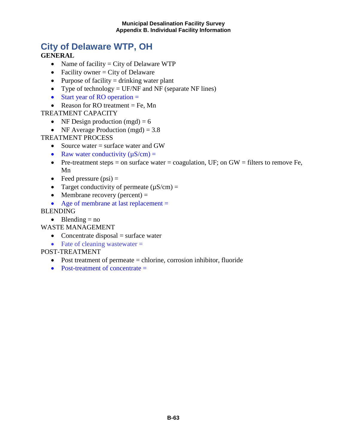#### **Municipal Desalination Facility Survey Appendix B. Individual Facility Information**

# **City of Delaware WTP, OH**

#### **GENERAL**

- Name of facility  $=$  City of Delaware WTP
- Facility owner  $=$  City of Delaware
- Purpose of facility  $=$  drinking water plant
- Type of technology = UF/NF and NF (separate NF lines)
- Start year of RO operation =
- Reason for RO treatment  $=$  Fe, Mn

#### TREATMENT CAPACITY

- NF Design production  $(mgd) = 6$
- NF Average Production  $(mgd) = 3.8$

TREATMENT PROCESS

- Source water = surface water and GW
- Raw water conductivity  $(\mu S/cm)$  =
- Pre-treatment steps  $=$  on surface water  $=$  coagulation, UF; on GW  $=$  filters to remove Fe, Mn
- Feed pressure  $(psi)$  =
- Target conductivity of permeate  $(\mu S/cm) =$
- Membrane recovery (percent)  $=$
- Age of membrane at last replacement =

#### BLENDING

• Blending  $=$  no

WASTE MANAGEMENT

- Concentrate disposal  $=$  surface water
- Fate of cleaning wastewater  $=$

- Post treatment of permeate = chlorine, corrosion inhibitor, fluoride
- Post-treatment of concentrate  $=$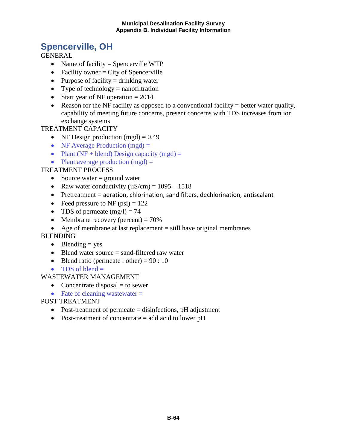### **Spencerville, OH**

**GENERAL** 

- Name of facility = Spencerville WTP
- Facility owner  $=$  City of Spencerville
- Purpose of facility  $=$  drinking water
- Type of technology  $=$  nanofiltration
- Start year of NF operation  $= 2014$
- Reason for the NF facility as opposed to a conventional facility = better water quality, capability of meeting future concerns, present concerns with TDS increases from ion exchange systems

TREATMENT CAPACITY

- NF Design production  $(mgd) = 0.49$
- NF Average Production  $(mgd)$  =
- Plant ( $NF + blend$ ) Design capacity ( $mgd$ ) =
- Plant average production  $(mgd)$  =

#### TREATMENT PROCESS

- Source water  $=$  ground water
- Raw water conductivity  $(\mu S/cm) = 1095 1518$
- Pretreatment = aeration, chlorination, sand filters, dechlorination, antiscalant
- Feed pressure to NF  $(psi) = 122$
- TDS of permeate  $(mg/l) = 74$
- Membrane recovery (percent)  $= 70\%$
- Age of membrane at last replacement  $=$  still have original membranes

BLENDING

- Blending  $=$  yes
- Blend water source = sand-filtered raw water
- Blend ratio (permeate : other) =  $90:10$
- TDS of blend  $=$

WASTEWATER MANAGEMENT

- Concentrate disposal  $=$  to sewer
- Fate of cleaning wastewater  $=$

- Post-treatment of permeate = disinfections, pH adjustment
- Post-treatment of concentrate = add acid to lower pH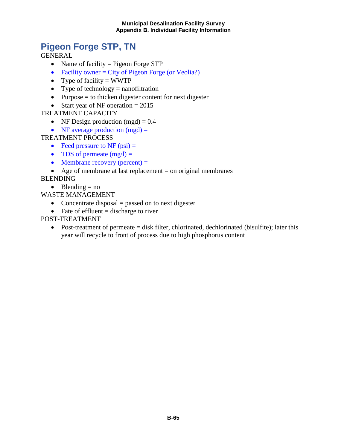# **Pigeon Forge STP, TN**

GENERAL

- Name of facility = Pigeon Forge STP
- Facility owner  $=$  City of Pigeon Forge (or Veolia?)
- Type of facility  $=$  WWTP
- Type of technology  $=$  nanofiltration
- Purpose = to thicken digester content for next digester
- Start year of NF operation  $= 2015$

#### TREATMENT CAPACITY

- NF Design production  $(mgd) = 0.4$
- NF average production  $(mgd)$  =

### TREATMENT PROCESS

- Feed pressure to NF  $(psi) =$
- TDS of permeate  $(mg/l) =$
- Membrane recovery (percent)  $=$
- Age of membrane at last replacement = on original membranes

### BLENDING

- Blending  $=$  no
- WASTE MANAGEMENT
	- Concentrate disposal  $=$  passed on to next digester
	- Fate of effluent  $=$  discharge to river

### POST-TREATMENT

• Post-treatment of permeate = disk filter, chlorinated, dechlorinated (bisulfite); later this year will recycle to front of process due to high phosphorus content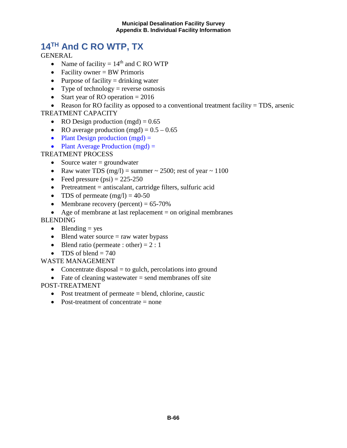# **14TH And C RO WTP, TX**

**GENERAL** 

- Name of facility =  $14<sup>th</sup>$  and C RO WTP
- Facility owner = BW Primoris
- Purpose of facility  $=$  drinking water
- Type of technology = reverse osmosis
- Start year of RO operation  $= 2016$

• Reason for RO facility as opposed to a conventional treatment facility = TDS, arsenic TREATMENT CAPACITY

- RO Design production  $(mgd) = 0.65$
- RO average production (mgd) =  $0.5 0.65$
- Plant Design production  $(mgd)$  =
- Plant Average Production  $(mgd)$  =

### TREATMENT PROCESS

- Source water  $=$  groundwater
- Raw water TDS (mg/l) = summer  $\sim$  2500; rest of year  $\sim$  1100
- Feed pressure  $(psi) = 225-250$
- Pretreatment  $=$  antiscalant, cartridge filters, sulfuric acid
- TDS of permeate  $(mg/l) = 40-50$
- Membrane recovery (percent)  $= 65-70\%$
- Age of membrane at last replacement  $=$  on original membranes

#### BLENDING

- Blending  $=$  yes
- Blend water source  $=$  raw water bypass
- Blend ratio (permeate : other) =  $2:1$
- TDS of blend  $= 740$

WASTE MANAGEMENT

- Concentrate disposal  $=$  to gulch, percolations into ground
- Fate of cleaning wastewater  $=$  send membranes off site

- Post treatment of permeate = blend, chlorine, caustic
- Post-treatment of concentrate  $=$  none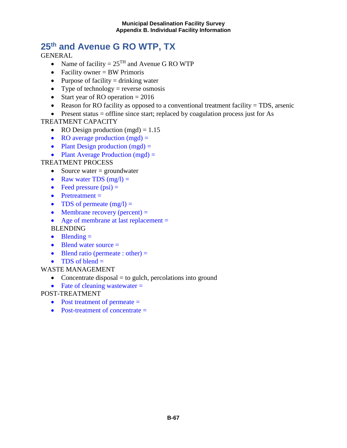# **25th and Avenue G RO WTP, TX**

**GENERAL** 

- Name of facility =  $25<sup>TH</sup>$  and Avenue G RO WTP
- Facility owner = BW Primoris
- Purpose of facility  $=$  drinking water
- Type of technology = reverse osmosis
- Start year of RO operation  $= 2016$
- Reason for RO facility as opposed to a conventional treatment facility  $= TDS$ , arsenic
- Present status  $=$  offline since start; replaced by coagulation process just for As

#### TREATMENT CAPACITY

- RO Design production  $(mgd) = 1.15$
- RO average production  $(mgd) =$
- Plant Design production  $(mgd)$  =
- Plant Average Production  $(mgd)$  =

#### TREATMENT PROCESS

- Source water  $=$  groundwater
- Raw water TDS  $(mg/l) =$
- Feed pressure  $(psi)$  =
- Pretreatment =
- TDS of permeate  $(mg/l)$  =
- Membrane recovery (percent)  $=$
- Age of membrane at last replacement =

BLENDING

- Blending  $=$
- Blend water source  $=$
- Blend ratio (permeate : other)  $=$
- TDS of blend  $=$
- WASTE MANAGEMENT
	- Concentrate disposal  $=$  to gulch, percolations into ground
	- Fate of cleaning wastewater =

- Post treatment of permeate =
- Post-treatment of concentrate =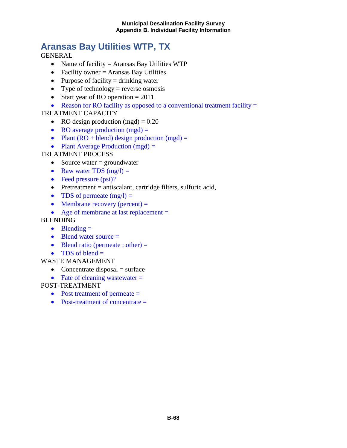# **Aransas Bay Utilities WTP, TX**

**GENERAL** 

- Name of facility = Aransas Bay Utilities WTP
- Facility owner  $=$  Aransas Bay Utilities
- Purpose of facility  $=$  drinking water
- Type of technology = reverse osmosis
- Start year of RO operation  $= 2011$
- Reason for RO facility as opposed to a conventional treatment facility  $=$

### TREATMENT CAPACITY

- RO design production  $(mgd) = 0.20$
- RO average production  $(mgd)$  =
- Plant  $(RO + blend)$  design production  $(mgd) =$
- Plant Average Production  $(mgd) =$

### TREATMENT PROCESS

- Source water  $=$  groundwater
- Raw water TDS  $(mg/l) =$
- Feed pressure (psi)?
- Pretreatment  $=$  antiscalant, cartridge filters, sulfuric acid,
- TDS of permeate  $(mg/l) =$
- Membrane recovery (percent)  $=$
- Age of membrane at last replacement =

#### BLENDING

- Blending  $=$
- Blend water source  $=$
- Blend ratio (permeate : other)  $=$
- TDS of blend  $=$

#### WASTE MANAGEMENT

- Concentrate disposal  $=$  surface
- Fate of cleaning wastewater  $=$

- Post treatment of permeate =
- Post-treatment of concentrate =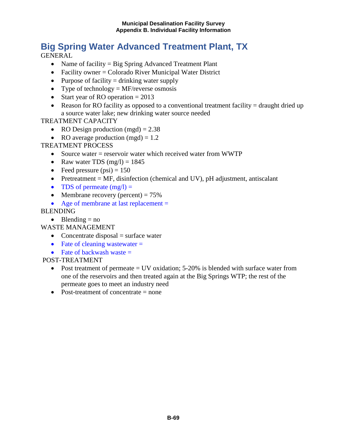# **Big Spring Water Advanced Treatment Plant, TX**

**GENERAL** 

- Name of facility = Big Spring Advanced Treatment Plant
- Facility owner = Colorado River Municipal Water District
- Purpose of facility  $=$  drinking water supply
- Type of technology  $=$  MF/reverse osmosis
- Start year of RO operation  $= 2013$
- Reason for RO facility as opposed to a conventional treatment facility  $=$  draught dried up a source water lake; new drinking water source needed

#### TREATMENT CAPACITY

- RO Design production  $(mgd) = 2.38$
- RO average production  $(mgd) = 1.2$

#### TREATMENT PROCESS

- Source water = reservoir water which received water from WWTP
- Raw water TDS  $(mg/l) = 1845$
- Feed pressure  $(psi) = 150$
- Pretreatment = MF, disinfection (chemical and UV), pH adjustment, antiscalant
- TDS of permeate  $(mg/l) =$
- Membrane recovery (percent)  $= 75\%$
- Age of membrane at last replacement =

#### BLENDING

• Blending  $=$  no

WASTE MANAGEMENT

- Concentrate disposal  $=$  surface water
- Fate of cleaning wastewater  $=$
- Fate of backwash waste  $=$

- Post treatment of permeate  $=$  UV oxidation; 5-20% is blended with surface water from one of the reservoirs and then treated again at the Big Springs WTP; the rest of the permeate goes to meet an industry need
- Post-treatment of concentrate  $=$  none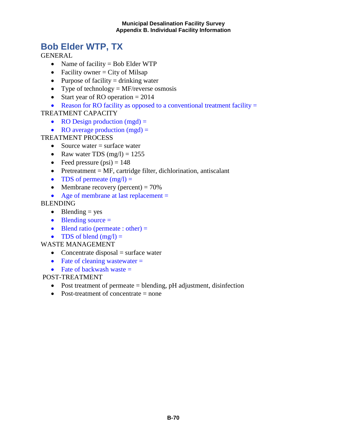### **Bob Elder WTP, TX**

GENERAL

- Name of facility = Bob Elder WTP
- Facility owner  $=$  City of Milsap
- Purpose of facility  $=$  drinking water
- Type of technology  $=$  MF/reverse osmosis
- Start year of RO operation  $= 2014$
- Reason for RO facility as opposed to a conventional treatment facility  $=$

TREATMENT CAPACITY

- RO Design production  $(mgd) =$
- RO average production  $(mgd) =$

TREATMENT PROCESS

- Source water  $=$  surface water
- Raw water TDS  $(mg/l) = 1255$
- Feed pressure  $(psi) = 148$
- Pretreatment  $= MF$ , cartridge filter, dichlorination, antiscalant
- TDS of permeate  $(mg/l)$  =
- Membrane recovery (percent)  $= 70\%$
- Age of membrane at last replacement =

BLENDING

- Blending  $=$  yes
- $\bullet$  Blending source  $=$
- Blend ratio (permeate : other)  $=$
- TDS of blend  $(mg/l) =$

WASTE MANAGEMENT

- Concentrate disposal  $=$  surface water
- Fate of cleaning wastewater  $=$
- Fate of backwash waste  $=$

- Post treatment of permeate = blending, pH adjustment, disinfection
- Post-treatment of concentrate = none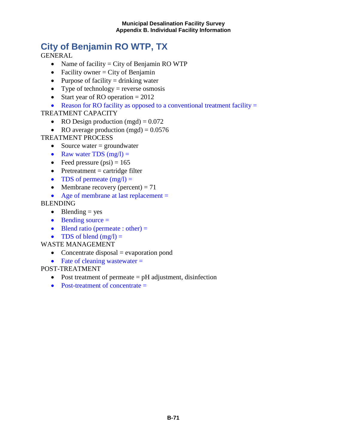# **City of Benjamin RO WTP, TX**

**GENERAL** 

- Name of facility  $=$  City of Benjamin RO WTP
- Facility owner  $=$  City of Benjamin
- Purpose of facility  $=$  drinking water
- Type of technology = reverse osmosis
- Start year of RO operation  $= 2012$
- Reason for RO facility as opposed to a conventional treatment facility  $=$

## TREATMENT CAPACITY

- RO Design production  $(mgd) = 0.072$
- RO average production  $(mgd) = 0.0576$

## TREATMENT PROCESS

- Source water  $=$  groundwater
- Raw water TDS  $(mg/l) =$
- Feed pressure  $(psi) = 165$
- Pretreatment  $=$  cartridge filter
- TDS of permeate  $(mg/l) =$
- Membrane recovery (percent)  $= 71$
- Age of membrane at last replacement =

### BLENDING

- Blending  $=$  yes
- $\bullet$  Bending source  $=$
- Blend ratio (permeate : other)  $=$
- TDS of blend  $(mg/l) =$

#### WASTE MANAGEMENT

- Concentrate disposal  $=$  evaporation pond
- Fate of cleaning wastewater  $=$

- Post treatment of permeate  $=$  pH adjustment, disinfection
- Post-treatment of concentrate  $=$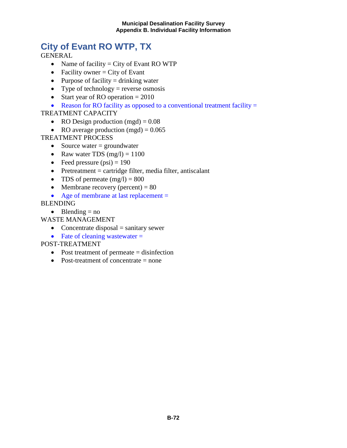# **City of Evant RO WTP, TX**

**GENERAL** 

- Name of facility  $=$  City of Evant RO WTP
- Facility owner  $=$  City of Evant
- Purpose of facility  $=$  drinking water
- Type of technology = reverse osmosis
- Start year of RO operation  $= 2010$
- Reason for RO facility as opposed to a conventional treatment facility  $=$

### TREATMENT CAPACITY

- RO Design production  $(mgd) = 0.08$
- RO average production  $(mgd) = 0.065$

TREATMENT PROCESS

- Source water  $=$  groundwater
- Raw water TDS  $(mg/l) = 1100$
- Feed pressure  $(psi) = 190$
- Pretreatment  $=$  cartridge filter, media filter, antiscalant
- TDS of permeate  $(mg/l) = 800$
- Membrane recovery (percent)  $= 80$
- Age of membrane at last replacement =

BLENDING

• Blending  $=$  no

WASTE MANAGEMENT

- Concentrate disposal  $=$  sanitary sewer
- Fate of cleaning wastewater  $=$

- Post treatment of permeate = disinfection
- Post-treatment of concentrate  $=$  none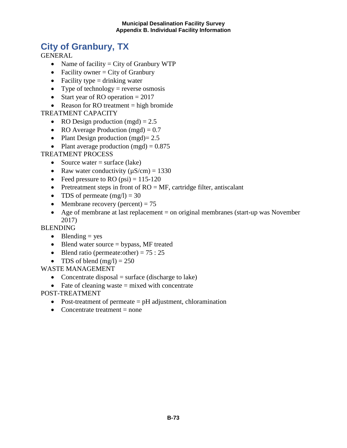#### **Municipal Desalination Facility Survey Appendix B. Individual Facility Information**

## **City of Granbury, TX**

**GENERAL** 

- Name of facility  $=$  City of Granbury WTP
- Facility owner  $=$  City of Granbury
- Facility type  $=$  drinking water
- Type of technology = reverse osmosis
- Start year of RO operation  $= 2017$
- Reason for RO treatment  $=$  high bromide

### TREATMENT CAPACITY

- RO Design production (mgd)  $= 2.5$
- RO Average Production (mgd)  $= 0.7$
- Plant Design production  $(mgd)=2.5$
- Plant average production  $(mgd) = 0.875$

### TREATMENT PROCESS

- Source water  $=$  surface (lake)
- Raw water conductivity  $(\mu S/cm) = 1330$
- Feed pressure to RO  $(psi) = 115-120$
- Pretreatment steps in front of  $RO = MF$ , cartridge filter, antiscalant
- TDS of permeate  $(mg/l) = 30$
- Membrane recovery (percent)  $= 75$
- Age of membrane at last replacement = on original membranes (start-up was November 2017)

### **BLENDING**

- Blending  $=$  yes
- Blend water source  $=$  bypass, MF treated
- Blend ratio (permeate: other) =  $75:25$
- TDS of blend  $(mg/l) = 250$

#### WASTE MANAGEMENT

- Concentrate disposal  $=$  surface (discharge to lake)
- Fate of cleaning waste  $=$  mixed with concentrate

- Post-treatment of permeate = pH adjustment, chloramination
- Concentrate treatment  $=$  none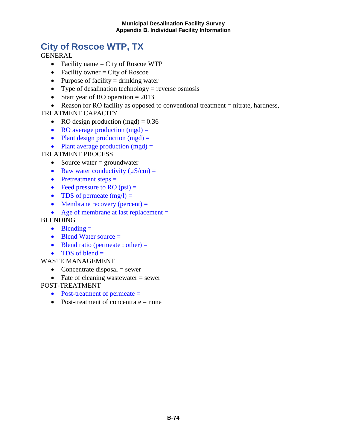## **City of Roscoe WTP, TX**

**GENERAL** 

- Facility name  $=$  City of Roscoe WTP
- Facility owner  $=$  City of Roscoe
- Purpose of facility  $=$  drinking water
- Type of desalination technology  $=$  reverse osmosis
- Start year of RO operation  $= 2013$

• Reason for RO facility as opposed to conventional treatment = nitrate, hardness,

#### TREATMENT CAPACITY

- RO design production  $(mgd) = 0.36$
- RO average production  $(mgd)$  =
- Plant design production  $(mgd)$  =
- Plant average production  $(mgd) =$

### TREATMENT PROCESS

- Source water  $=$  groundwater
- Raw water conductivity  $(\mu S/cm)$  =
- Pretreatment steps =
- Feed pressure to RO  $(psi)$  =
- TDS of permeate  $(mg/l) =$
- Membrane recovery (percent)  $=$
- Age of membrane at last replacement =

#### BLENDING

- $\bullet$  Blending  $=$
- Blend Water source =
- Blend ratio (permeate : other)  $=$
- TDS of blend  $=$

#### WASTE MANAGEMENT

- Concentrate disposal  $=$  sewer
- Fate of cleaning wastewater  $=$  sewer

- Post-treatment of permeate =
- Post-treatment of concentrate  $=$  none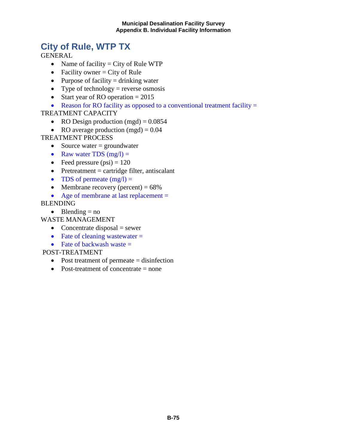## **City of Rule, WTP TX**

**GENERAL** 

- Name of facility  $=$  City of Rule WTP
- Facility owner  $=$  City of Rule
- Purpose of facility  $=$  drinking water
- Type of technology = reverse osmosis
- Start year of RO operation  $= 2015$
- Reason for RO facility as opposed to a conventional treatment facility  $=$

### TREATMENT CAPACITY

- RO Design production  $(mgd) = 0.0854$
- RO average production  $(mgd) = 0.04$

## TREATMENT PROCESS

- Source water  $=$  groundwater
- Raw water TDS  $(mg/l) =$
- Feed pressure  $(psi) = 120$
- Pretreatment  $=$  cartridge filter, antiscalant
- TDS of permeate  $(mg/l) =$
- Membrane recovery (percent)  $= 68\%$
- Age of membrane at last replacement =

BLENDING

• Blending  $=$  no

## WASTE MANAGEMENT

- Concentrate disposal  $=$  sewer
- Fate of cleaning wastewater  $=$
- Fate of backwash waste  $=$

- Post treatment of permeate = disinfection
- Post-treatment of concentrate = none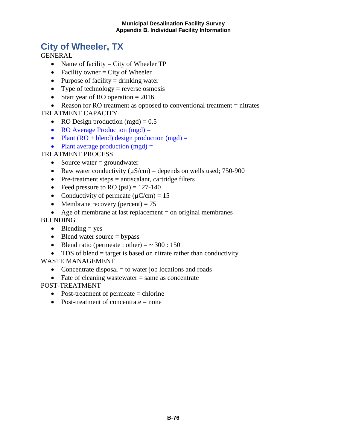## **City of Wheeler, TX**

**GENERAL** 

- Name of facility  $=$  City of Wheeler TP
- Facility owner  $=$  City of Wheeler
- Purpose of facility  $=$  drinking water
- Type of technology = reverse osmosis
- Start year of RO operation  $= 2016$
- Reason for RO treatment as opposed to conventional treatment = nitrates TREATMENT CAPACITY
	- RO Design production  $(mgd) = 0.5$ 
		- RO Average Production (mgd) =
		- Plant  $(RO + blend)$  design production  $(mgd) =$
		- Plant average production  $(mgd)$  =

## TREATMENT PROCESS

- Source water  $=$  groundwater
- Raw water conductivity  $(\mu S/cm)$  = depends on wells used; 750-900
- Pre-treatment steps  $=$  antiscalant, cartridge filters
- Feed pressure to RO  $(psi) = 127-140$
- Conductivity of permeate  $(\mu$ C/cm) = 15
- Membrane recovery (percent)  $= 75$
- Age of membrane at last replacement  $=$  on original membranes

### BLENDING

- Blending  $=$  yes
- Blend water source  $=$  bypass
- Blend ratio (permeate : other)  $=$   $\sim$  300 : 150
- TDS of blend  $=$  target is based on nitrate rather than conductivity

WASTE MANAGEMENT

- Concentrate disposal  $=$  to water job locations and roads
- Fate of cleaning wastewater  $=$  same as concentrate

- Post-treatment of permeate = chlorine
- Post-treatment of concentrate  $=$  none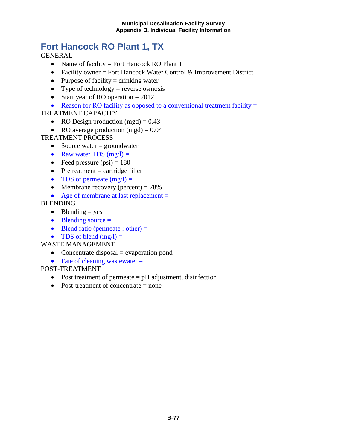## **Fort Hancock RO Plant 1, TX**

**GENERAL** 

- Name of facility = Fort Hancock RO Plant 1
- Facility owner = Fort Hancock Water Control  $&$  Improvement District
- Purpose of facility  $=$  drinking water
- Type of technology = reverse osmosis
- Start year of RO operation  $= 2012$
- Reason for RO facility as opposed to a conventional treatment facility =

## TREATMENT CAPACITY

- RO Design production  $(mgd) = 0.43$
- RO average production  $(mgd) = 0.04$

## TREATMENT PROCESS

- Source water  $=$  groundwater
- Raw water TDS  $(mg/l) =$
- Feed pressure  $(psi) = 180$
- Pretreatment  $=$  cartridge filter
- TDS of permeate  $(mg/l)$  =
- Membrane recovery (percent)  $= 78\%$
- Age of membrane at last replacement =

### BLENDING

- Blending  $=$  yes
- $\bullet$  Blending source  $=$
- Blend ratio (permeate : other)  $=$
- TDS of blend  $(mg/l) =$

#### WASTE MANAGEMENT

- Concentrate disposal  $=$  evaporation pond
- Fate of cleaning wastewater  $=$

- Post treatment of permeate  $=$  pH adjustment, disinfection
- Post-treatment of concentrate  $=$  none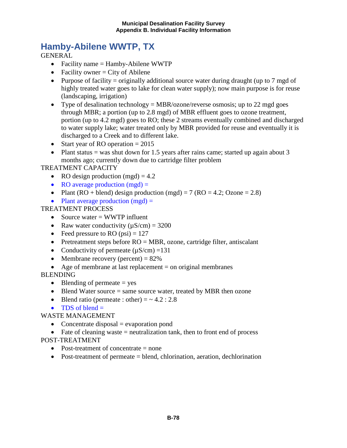## **Hamby-Abilene WWTP, TX**

**GENERAL** 

- Facility name = Hamby-Abilene WWTP
- Facility owner  $=$  City of Abilene
- Purpose of facility = originally additional source water during draught (up to 7 mgd of highly treated water goes to lake for clean water supply); now main purpose is for reuse (landscaping, irrigation)
- Type of desalination technology = MBR/ozone/reverse osmosis; up to 22 mgd goes through MBR; a portion (up to 2.8 mgd) of MBR effluent goes to ozone treatment, portion (up to 4.2 mgd) goes to RO; these 2 streams eventually combined and discharged to water supply lake; water treated only by MBR provided for reuse and eventually it is discharged to a Creek and to different lake.
- Start year of RO operation  $= 2015$
- Plant status = was shut down for 1.5 years after rains came; started up again about 3 months ago; currently down due to cartridge filter problem

## TREATMENT CAPACITY

- RO design production  $(mgd) = 4.2$
- RO average production  $(mgd) =$
- Plant (RO + blend) design production (mgd) = 7 (RO = 4.2; Ozone = 2.8)
- Plant average production  $(mgd)$  =

#### TREATMENT PROCESS

- Source water  $=$  WWTP influent
- Raw water conductivity  $(\mu S/cm) = 3200$
- Feed pressure to RO  $(psi) = 127$
- Pretreatment steps before  $RO = MBR$ , ozone, cartridge filter, antiscalant
- Conductivity of permeate  $(\mu S/cm) = 131$
- Membrane recovery (percent)  $= 82\%$
- Age of membrane at last replacement  $=$  on original membranes

BLENDING

- Blending of permeate  $=$  yes
- Blend Water source  $=$  same source water, treated by MBR then ozone
- Blend ratio (permeate : other)  $=$   $\sim$  4.2 : 2.8
- TDS of blend  $=$

WASTE MANAGEMENT

- Concentrate disposal  $=$  evaporation pond
- Fate of cleaning waste  $=$  neutralization tank, then to front end of process

- Post-treatment of concentrate  $=$  none
- Post-treatment of permeate = blend, chlorination, aeration, dechlorination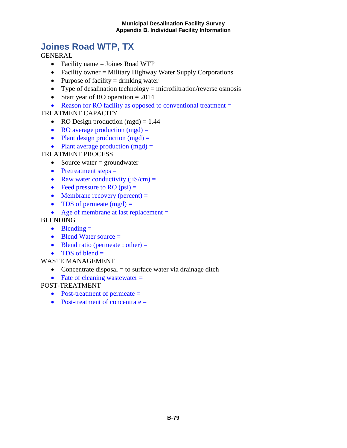## **Joines Road WTP, TX**

**GENERAL** 

- Facility name = Joines Road WTP
- Facility owner = Military Highway Water Supply Corporations
- Purpose of facility  $=$  drinking water
- Type of desalination technology  $=$  microfiltration/reverse osmosis
- Start year of RO operation  $= 2014$
- Reason for RO facility as opposed to conventional treatment =

## TREATMENT CAPACITY

- RO Design production  $(mgd) = 1.44$
- RO average production  $(mgd)$  =
- Plant design production  $(mgd)$  =
- Plant average production  $(mgd) =$

## TREATMENT PROCESS

- Source water  $=$  groundwater
- Pretreatment steps  $=$
- Raw water conductivity  $(\mu S/cm) =$
- Feed pressure to RO  $(psi)$  =
- Membrane recovery (percent)  $=$
- TDS of permeate  $(mg/l) =$
- Age of membrane at last replacement =

#### BLENDING

- $\bullet$  Blending  $=$
- Blend Water source =
- Blend ratio (permeate : other)  $=$
- TDS of blend  $=$

#### WASTE MANAGEMENT

- Concentrate disposal  $=$  to surface water via drainage ditch
- Fate of cleaning wastewater  $=$

- Post-treatment of permeate =
- Post-treatment of concentrate  $=$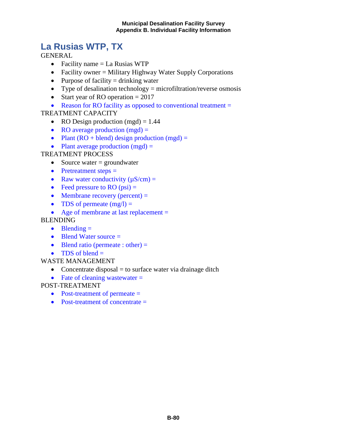## **La Rusias WTP, TX**

GENERAL

- Facility name  $=$  La Rusias WTP
- Facility owner = Military Highway Water Supply Corporations
- Purpose of facility  $=$  drinking water
- Type of desalination technology  $=$  microfiltration/reverse osmosis
- Start year of RO operation  $= 2017$
- Reason for RO facility as opposed to conventional treatment =

#### TREATMENT CAPACITY

- RO Design production  $(mgd) = 1.44$
- RO average production  $(mgd)$  =
- Plant  $(RO + blend)$  design production  $(mgd) =$
- Plant average production  $(mgd)$  =

#### TREATMENT PROCESS

- Source water  $=$  groundwater
- Pretreatment steps =
- Raw water conductivity  $(\mu S/cm)$  =
- Feed pressure to RO  $(psi)$  =
- Membrane recovery (percent)  $=$
- TDS of permeate  $(mg/l) =$
- Age of membrane at last replacement =

#### BLENDING

- Blending  $=$
- Blend Water source =
- Blend ratio (permeate : other)  $=$
- TDS of blend  $=$

#### WASTE MANAGEMENT

- Concentrate disposal  $=$  to surface water via drainage ditch
- Fate of cleaning wastewater  $=$

- Post-treatment of permeate =
- Post-treatment of concentrate =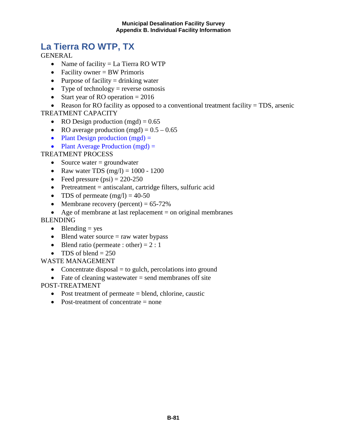## **La Tierra RO WTP, TX**

**GENERAL** 

- Name of facility = La Tierra RO WTP
- Facility owner = BW Primoris
- Purpose of facility  $=$  drinking water
- Type of technology = reverse osmosis
- Start year of RO operation  $= 2016$

• Reason for RO facility as opposed to a conventional treatment facility = TDS, arsenic TREATMENT CAPACITY

- RO Design production  $(mgd) = 0.65$
- RO average production (mgd) =  $0.5 0.65$
- Plant Design production  $(mgd)$  =
- Plant Average Production  $(mgd) =$

## TREATMENT PROCESS

- Source water  $=$  groundwater
- Raw water TDS  $(mg/l) = 1000 1200$
- Feed pressure  $(psi) = 220-250$
- Pretreatment  $=$  antiscalant, cartridge filters, sulfuric acid
- TDS of permeate  $(mg/l) = 40-50$
- Membrane recovery (percent)  $= 65-72\%$
- Age of membrane at last replacement  $=$  on original membranes

### BLENDING

- Blending  $=$  yes
- Blend water source  $=$  raw water bypass
- Blend ratio (permeate : other) =  $2:1$
- TDS of blend  $= 250$

WASTE MANAGEMENT

- Concentrate disposal  $=$  to gulch, percolations into ground
- Fate of cleaning wastewater  $=$  send membranes off site

- Post treatment of permeate = blend, chlorine, caustic
- Post-treatment of concentrate  $=$  none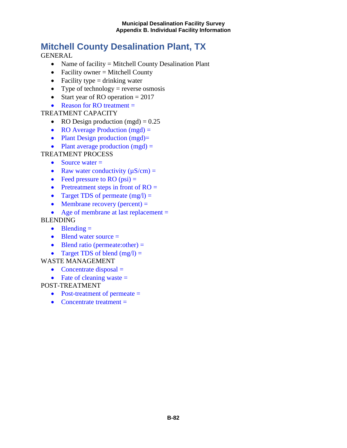## **Mitchell County Desalination Plant, TX**

GENERAL

- Name of facility = Mitchell County Desalination Plant
- Facility owner  $=$  Mitchell County
- Facility type  $=$  drinking water
- Type of technology = reverse osmosis
- Start year of RO operation  $= 2017$
- Reason for RO treatment  $=$

### TREATMENT CAPACITY

- RO Design production (mgd)  $= 0.25$
- RO Average Production (mgd) =
- Plant Design production (mgd)=
- Plant average production  $(mgd) =$

## TREATMENT PROCESS

- Source water  $=$
- Raw water conductivity  $(\mu S/cm)$  =
- Feed pressure to RO  $(psi)$  =
- Pretreatment steps in front of  $RO =$
- Target TDS of permeate  $(mg/l) =$
- Membrane recovery (percent)  $=$
- Age of membrane at last replacement =

## BLENDING

- Blending  $=$
- Blend water source =
- Blend ratio (permeate:other) =
- Target TDS of blend  $(mg/l) =$

#### WASTE MANAGEMENT

- Concentrate disposal  $=$
- Fate of cleaning waste  $=$

- Post-treatment of permeate =
- Concentrate treatment  $=$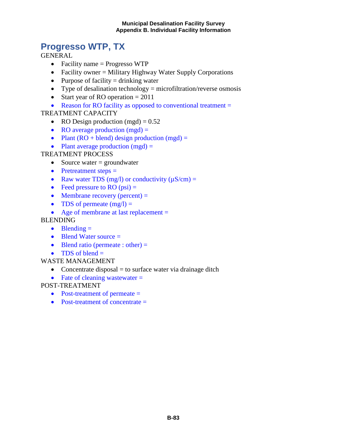## **Progresso WTP, TX**

**GENERAL** 

- Facility name = Progresso WTP
- Facility owner = Military Highway Water Supply Corporations
- Purpose of facility  $=$  drinking water
- Type of desalination technology  $=$  microfiltration/reverse osmosis
- Start year of RO operation  $= 2011$
- Reason for RO facility as opposed to conventional treatment =

## TREATMENT CAPACITY

- RO Design production  $(mgd) = 0.52$
- RO average production  $(mgd)$  =
- Plant  $(RO + blend)$  design production  $(mgd) =$
- Plant average production  $(mgd)$  =

## TREATMENT PROCESS

- Source water  $=$  groundwater
- Pretreatment steps  $=$
- Raw water TDS (mg/l) or conductivity  $(\mu S/cm)$  =
- Feed pressure to RO  $(psi)$  =
- Membrane recovery (percent)  $=$
- TDS of permeate  $(mg/l) =$
- Age of membrane at last replacement =

### BLENDING

- Blending  $=$
- Blend Water source =
- Blend ratio (permeate : other)  $=$
- TDS of blend  $=$

#### WASTE MANAGEMENT

- Concentrate disposal  $=$  to surface water via drainage ditch
- Fate of cleaning wastewater  $=$

- Post-treatment of permeate =
- Post-treatment of concentrate =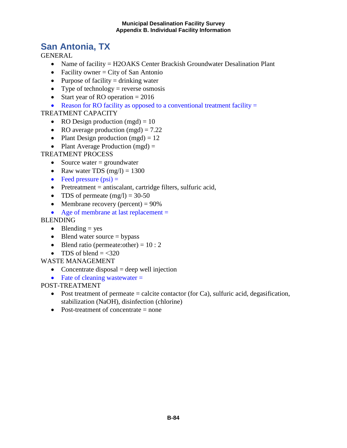## **San Antonia, TX**

**GENERAL** 

- Name of facility = H2OAKS Center Brackish Groundwater Desalination Plant
- Facility owner  $=$  City of San Antonio
- Purpose of facility  $=$  drinking water
- Type of technology = reverse osmosis
- Start year of RO operation  $= 2016$
- Reason for RO facility as opposed to a conventional treatment facility  $=$

## TREATMENT CAPACITY

- RO Design production  $(mgd) = 10$
- RO average production  $(mgd) = 7.22$
- Plant Design production  $(mgd) = 12$
- Plant Average Production  $(mgd)$  =

## TREATMENT PROCESS

- Source water  $=$  groundwater
- Raw water TDS  $(mg/l) = 1300$
- Feed pressure  $(psi)$  =
- Pretreatment = antiscalant, cartridge filters, sulfuric acid,
- TDS of permeate  $(mg/l) = 30-50$
- Membrane recovery (percent)  $= 90\%$
- Age of membrane at last replacement =

## BLENDING

- Blending  $=$  yes
- Blend water source  $=$  bypass
- Blend ratio (permeate: other) =  $10:2$
- TDS of blend  $=$  <320

## WASTE MANAGEMENT

- Concentrate disposal  $=$  deep well injection
- Fate of cleaning wastewater  $=$

- Post treatment of permeate  $=$  calcite contactor (for Ca), sulfuric acid, degasification, stabilization (NaOH), disinfection (chlorine)
- Post-treatment of concentrate = none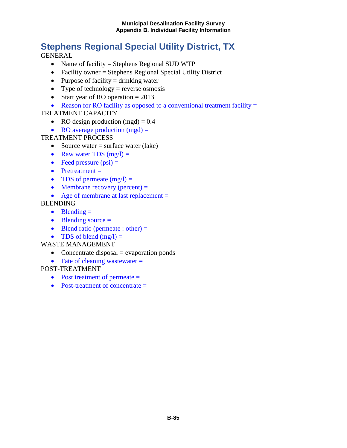# **Stephens Regional Special Utility District, TX**

GENERAL

- Name of facility = Stephens Regional SUD WTP
- Facility owner = Stephens Regional Special Utility District
- Purpose of facility  $=$  drinking water
- Type of technology = reverse osmosis
- Start year of RO operation  $= 2013$
- Reason for RO facility as opposed to a conventional treatment facility  $=$

#### TREATMENT CAPACITY

- RO design production  $(mgd) = 0.4$
- RO average production  $(mgd)$  =

#### TREATMENT PROCESS

- Source water  $=$  surface water (lake)
- Raw water TDS  $(mg/l) =$
- Feed pressure  $(psi)$  =
- Pretreatment =
- TDS of permeate  $(mg/l) =$
- Membrane recovery (percent)  $=$
- Age of membrane at last replacement =

#### BLENDING

- Blending  $=$
- Blending source =
- Blend ratio (permeate : other)  $=$
- TDS of blend  $(mg/l) =$

#### WASTE MANAGEMENT

- Concentrate disposal  $=$  evaporation ponds
- Fate of cleaning wastewater  $=$

- Post treatment of permeate  $=$
- Post-treatment of concentrate  $=$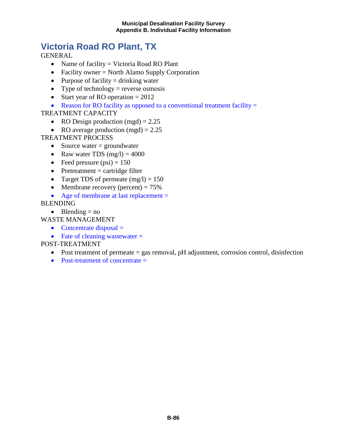## **Victoria Road RO Plant, TX**

**GENERAL** 

- Name of facility = Victoria Road RO Plant
- Facility owner = North Alamo Supply Corporation
- Purpose of facility  $=$  drinking water
- Type of technology = reverse osmosis
- Start year of RO operation  $= 2012$
- Reason for RO facility as opposed to a conventional treatment facility  $=$

TREATMENT CAPACITY

- RO Design production  $(mgd) = 2.25$
- RO average production  $(mgd) = 2.25$

TREATMENT PROCESS

- Source water  $=$  groundwater
- Raw water TDS  $(mg/l) = 4000$
- Feed pressure  $(psi) = 150$
- Pretreatment  $=$  cartridge filter
- Target TDS of permeate  $(mg/l) = 150$
- Membrane recovery (percent)  $= 75\%$
- Age of membrane at last replacement =

BLENDING

• Blending  $=$  no

WASTE MANAGEMENT

- Concentrate disposal  $=$
- Fate of cleaning wastewater  $=$

- Post treatment of permeate = gas removal, pH adjustment, corrosion control, disinfection
- Post-treatment of concentrate  $=$